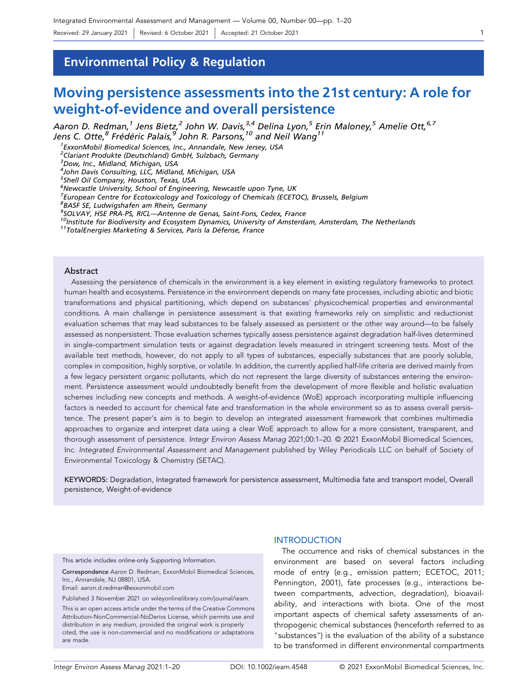Environmental Policy & Regulation

# Moving persistence assessments into the 21st century: A role for weight‐of‐evidence and overall persistence

Aaron D. Redman,<sup>1</sup> Jens Bietz,<sup>2</sup> John W. Davis,<sup>3,4</sup> Delina Lyon,<sup>5</sup> Erin Maloney,<sup>5</sup> Amelie Ott,<sup>6,7</sup> Jens C. Otte,<sup>8</sup> Frédéric Palais,<sup>9</sup> John R. Parsons,<sup>10</sup> and Neil Wang<sup>11</sup>

1 ExxonMobil Biomedical Sciences, Inc., Annandale, New Jersey, USA

<sup>2</sup>Clariant Produkte (Deutschland) GmbH, Sulzbach, Germany

<sup>3</sup>Dow, Inc., Midland, Michigan, USA

4 John Davis Consulting, LLC, Midland, Michigan, USA

5 Shell Oil Company, Houston, Texas, USA

6 Newcastle University, School of Engineering, Newcastle upon Tyne, UK

<sup>7</sup> European Centre for Ecotoxicology and Toxicology of Chemicals (ECETOC), Brussels, Belgium

8 BASF SE, Ludwigshafen am Rhein, Germany

<sup>9</sup>SOLVAY, HSE PRA-PS, RICL-Antenne de Genas, Saint-Fons, Cedex, France

<sup>10</sup>Institute for Biodiversity and Ecosystem Dynamics, University of Amsterdam, Amsterdam, The Netherlands<br><sup>11</sup>TotalEnergies Marketing & Services, Paris la Défense, France

## Abstract

Assessing the persistence of chemicals in the environment is a key element in existing regulatory frameworks to protect human health and ecosystems. Persistence in the environment depends on many fate processes, including abiotic and biotic transformations and physical partitioning, which depend on substances' physicochemical properties and environmental conditions. A main challenge in persistence assessment is that existing frameworks rely on simplistic and reductionist evaluation schemes that may lead substances to be falsely assessed as persistent or the other way around—to be falsely assessed as nonpersistent. Those evaluation schemes typically assess persistence against degradation half‐lives determined in single-compartment simulation tests or against degradation levels measured in stringent screening tests. Most of the available test methods, however, do not apply to all types of substances, especially substances that are poorly soluble, complex in composition, highly sorptive, or volatile. In addition, the currently applied half-life criteria are derived mainly from a few legacy persistent organic pollutants, which do not represent the large diversity of substances entering the environment. Persistence assessment would undoubtedly benefit from the development of more flexible and holistic evaluation schemes including new concepts and methods. A weight‐of‐evidence (WoE) approach incorporating multiple influencing factors is needed to account for chemical fate and transformation in the whole environment so as to assess overall persistence. The present paper's aim is to begin to develop an integrated assessment framework that combines multimedia approaches to organize and interpret data using a clear WoE approach to allow for a more consistent, transparent, and thorough assessment of persistence. Integr Environ Assess Manag 2021;00:1–20. © 2021 ExxonMobil Biomedical Sciences, Inc. Integrated Environmental Assessment and Management published by Wiley Periodicals LLC on behalf of Society of Environmental Toxicology & Chemistry (SETAC).

KEYWORDS: Degradation, Integrated framework for persistence assessment, Multimedia fate and transport model, Overall persistence, Weight‐of‐evidence

This article includes online‐only Supporting Information.

Correspondence Aaron D. Redman, ExxonMobil Biomedical Sciences, Inc., Annandale, NJ 08801, USA.

Email: [aaron.d.redman@exxonmobil.com](mailto:aaron.d.redman@exxonmobil.com)

Published 3 November 2021 on wileyonlinelibrary.com/journal/ieam.

This is an open access article under the terms of the Creative Commons Attribution‐NonCommercial‐NoDerivs License, which permits use and distribution in any medium, provided the original work is properly cited, the use is non‐commercial and no modifications or adaptations are made.

## **INTRODUCTION**

The occurrence and risks of chemical substances in the environment are based on several factors including mode of entry (e.g., emission pattern; ECETOC, 2011; Pennington, 2001), fate processes (e.g., interactions between compartments, advection, degradation), bioavailability, and interactions with biota. One of the most important aspects of chemical safety assessments of anthropogenic chemical substances (henceforth referred to as "substances") is the evaluation of the ability of a substance to be transformed in different environmental compartments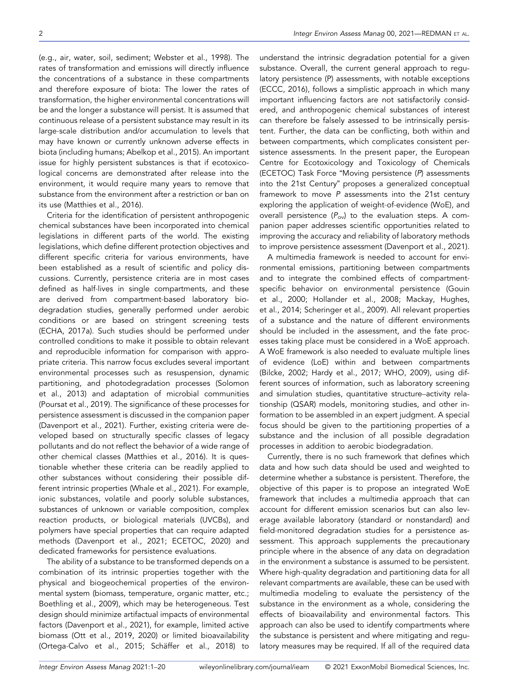(e.g., air, water, soil, sediment; Webster et al., 1998). The rates of transformation and emissions will directly influence the concentrations of a substance in these compartments and therefore exposure of biota: The lower the rates of transformation, the higher environmental concentrations will be and the longer a substance will persist. It is assumed that continuous release of a persistent substance may result in its large‐scale distribution and/or accumulation to levels that may have known or currently unknown adverse effects in biota (including humans; Abelkop et al., 2015). An important issue for highly persistent substances is that if ecotoxicological concerns are demonstrated after release into the environment, it would require many years to remove that substance from the environment after a restriction or ban on its use (Matthies et al., 2016).

Criteria for the identification of persistent anthropogenic chemical substances have been incorporated into chemical legislations in different parts of the world. The existing legislations, which define different protection objectives and different specific criteria for various environments, have been established as a result of scientific and policy discussions. Currently, persistence criteria are in most cases defined as half‐lives in single compartments, and these are derived from compartment‐based laboratory biodegradation studies, generally performed under aerobic conditions or are based on stringent screening tests (ECHA, 2017a). Such studies should be performed under controlled conditions to make it possible to obtain relevant and reproducible information for comparison with appropriate criteria. This narrow focus excludes several important environmental processes such as resuspension, dynamic partitioning, and photodegradation processes (Solomon et al., 2013) and adaptation of microbial communities (Poursat et al., 2019). The significance of these processes for persistence assessment is discussed in the companion paper (Davenport et al., 2021). Further, existing criteria were developed based on structurally specific classes of legacy pollutants and do not reflect the behavior of a wide range of other chemical classes (Matthies et al., 2016). It is questionable whether these criteria can be readily applied to other substances without considering their possible different intrinsic properties (Whale et al., 2021). For example, ionic substances, volatile and poorly soluble substances, substances of unknown or variable composition, complex reaction products, or biological materials (UVCBs), and polymers have special properties that can require adapted methods (Davenport et al., 2021; ECETOC, 2020) and dedicated frameworks for persistence evaluations.

The ability of a substance to be transformed depends on a combination of its intrinsic properties together with the physical and biogeochemical properties of the environmental system (biomass, temperature, organic matter, etc.; Boethling et al., 2009), which may be heterogeneous. Test design should minimize artifactual impacts of environmental factors (Davenport et al., 2021), for example, limited active biomass (Ott et al., 2019, 2020) or limited bioavailability (Ortega‐Calvo et al., 2015; Schäffer et al., 2018) to

understand the intrinsic degradation potential for a given substance. Overall, the current general approach to regulatory persistence (P) assessments, with notable exceptions (ECCC, 2016), follows a simplistic approach in which many important influencing factors are not satisfactorily considered, and anthropogenic chemical substances of interest can therefore be falsely assessed to be intrinsically persistent. Further, the data can be conflicting, both within and between compartments, which complicates consistent persistence assessments. In the present paper, the European Centre for Ecotoxicology and Toxicology of Chemicals (ECETOC) Task Force "Moving persistence (P) assessments into the 21st Century" proposes a generalized conceptual framework to move P assessments into the 21st century exploring the application of weight‐of‐evidence (WoE), and overall persistence  $(P_{ov})$  to the evaluation steps. A companion paper addresses scientific opportunities related to improving the accuracy and reliability of laboratory methods to improve persistence assessment (Davenport et al., 2021).

A multimedia framework is needed to account for environmental emissions, partitioning between compartments and to integrate the combined effects of compartment‐ specific behavior on environmental persistence (Gouin et al., 2000; Hollander et al., 2008; Mackay, Hughes, et al., 2014; Scheringer et al., 2009). All relevant properties of a substance and the nature of different environments should be included in the assessment, and the fate processes taking place must be considered in a WoE approach. A WoE framework is also needed to evaluate multiple lines of evidence (LoE) within and between compartments (Bilcke, 2002; Hardy et al., 2017; WHO, 2009), using different sources of information, such as laboratory screening and simulation studies, quantitative structure–activity relationship (QSAR) models, monitoring studies, and other information to be assembled in an expert judgment. A special focus should be given to the partitioning properties of a substance and the inclusion of all possible degradation processes in addition to aerobic biodegradation.

Currently, there is no such framework that defines which data and how such data should be used and weighted to determine whether a substance is persistent. Therefore, the objective of this paper is to propose an integrated WoE framework that includes a multimedia approach that can account for different emission scenarios but can also leverage available laboratory (standard or nonstandard) and field‐monitored degradation studies for a persistence assessment. This approach supplements the precautionary principle where in the absence of any data on degradation in the environment a substance is assumed to be persistent. Where high‐quality degradation and partitioning data for all relevant compartments are available, these can be used with multimedia modeling to evaluate the persistency of the substance in the environment as a whole, considering the effects of bioavailability and environmental factors. This approach can also be used to identify compartments where the substance is persistent and where mitigating and regulatory measures may be required. If all of the required data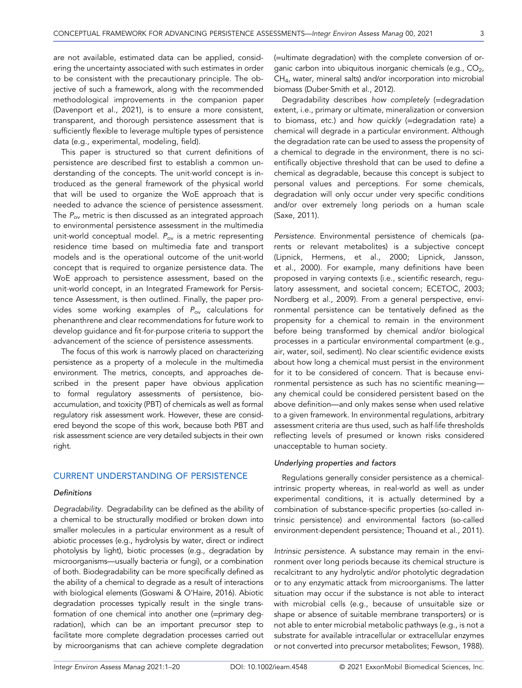are not available, estimated data can be applied, considering the uncertainty associated with such estimates in order to be consistent with the precautionary principle. The objective of such a framework, along with the recommended methodological improvements in the companion paper (Davenport et al., 2021), is to ensure a more consistent, transparent, and thorough persistence assessment that is sufficiently flexible to leverage multiple types of persistence data (e.g., experimental, modeling, field).

This paper is structured so that current definitions of persistence are described first to establish a common understanding of the concepts. The unit‐world concept is introduced as the general framework of the physical world that will be used to organize the WoE approach that is needed to advance the science of persistence assessment. The  $P_{ov}$  metric is then discussed as an integrated approach to environmental persistence assessment in the multimedia unit-world conceptual model.  $P_{ov}$  is a metric representing residence time based on multimedia fate and transport models and is the operational outcome of the unit‐world concept that is required to organize persistence data. The WoE approach to persistence assessment, based on the unit‐world concept, in an Integrated Framework for Persistence Assessment, is then outlined. Finally, the paper provides some working examples of  $P_{ov}$  calculations for phenanthrene and clear recommendations for future work to develop guidance and fit‐for‐purpose criteria to support the advancement of the science of persistence assessments.

The focus of this work is narrowly placed on characterizing persistence as a property of a molecule in the multimedia environment. The metrics, concepts, and approaches described in the present paper have obvious application to formal regulatory assessments of persistence, bioaccumulation, and toxicity (PBT) of chemicals as well as formal regulatory risk assessment work. However, these are considered beyond the scope of this work, because both PBT and risk assessment science are very detailed subjects in their own right.

## CURRENT UNDERSTANDING OF PERSISTENCE

## **Definitions**

Degradability. Degradability can be defined as the ability of a chemical to be structurally modified or broken down into smaller molecules in a particular environment as a result of abiotic processes (e.g., hydrolysis by water, direct or indirect photolysis by light), biotic processes (e.g., degradation by microorganisms—usually bacteria or fungi), or a combination of both. Biodegradability can be more specifically defined as the ability of a chemical to degrade as a result of interactions with biological elements (Goswami & O'Haire, 2016). Abiotic degradation processes typically result in the single transformation of one chemical into another one (=primary degradation), which can be an important precursor step to facilitate more complete degradation processes carried out by microorganisms that can achieve complete degradation (=ultimate degradation) with the complete conversion of organic carbon into ubiquitous inorganic chemicals (e.g.,  $CO<sub>2</sub>$ , CH<sub>4</sub>, water, mineral salts) and/or incorporation into microbial biomass (Duber‐Smith et al., 2012).

Degradability describes how completely (=degradation extent, i.e., primary or ultimate, mineralization or conversion to biomass, etc.) and how quickly (=degradation rate) a chemical will degrade in a particular environment. Although the degradation rate can be used to assess the propensity of a chemical to degrade in the environment, there is no scientifically objective threshold that can be used to define a chemical as degradable, because this concept is subject to personal values and perceptions. For some chemicals, degradation will only occur under very specific conditions and/or over extremely long periods on a human scale (Saxe, 2011).

Persistence. Environmental persistence of chemicals (parents or relevant metabolites) is a subjective concept (Lipnick, Hermens, et al., 2000; Lipnick, Jansson, et al., 2000). For example, many definitions have been proposed in varying contexts (i.e., scientific research, regulatory assessment, and societal concern; ECETOC, 2003; Nordberg et al., 2009). From a general perspective, environmental persistence can be tentatively defined as the propensity for a chemical to remain in the environment before being transformed by chemical and/or biological processes in a particular environmental compartment (e.g., air, water, soil, sediment). No clear scientific evidence exists about how long a chemical must persist in the environment for it to be considered of concern. That is because environmental persistence as such has no scientific meaning any chemical could be considered persistent based on the above definition—and only makes sense when used relative to a given framework. In environmental regulations, arbitrary assessment criteria are thus used, such as half‐life thresholds reflecting levels of presumed or known risks considered unacceptable to human society.

#### Underlying properties and factors

Regulations generally consider persistence as a chemical‐ intrinsic property whereas, in real‐world as well as under experimental conditions, it is actually determined by a combination of substance‐specific properties (so‐called intrinsic persistence) and environmental factors (so‐called environment‐dependent persistence; Thouand et al., 2011).

Intrinsic persistence. A substance may remain in the environment over long periods because its chemical structure is recalcitrant to any hydrolytic and/or photolytic degradation or to any enzymatic attack from microorganisms. The latter situation may occur if the substance is not able to interact with microbial cells (e.g., because of unsuitable size or shape or absence of suitable membrane transporters) or is not able to enter microbial metabolic pathways (e.g., is not a substrate for available intracellular or extracellular enzymes or not converted into precursor metabolites; Fewson, 1988).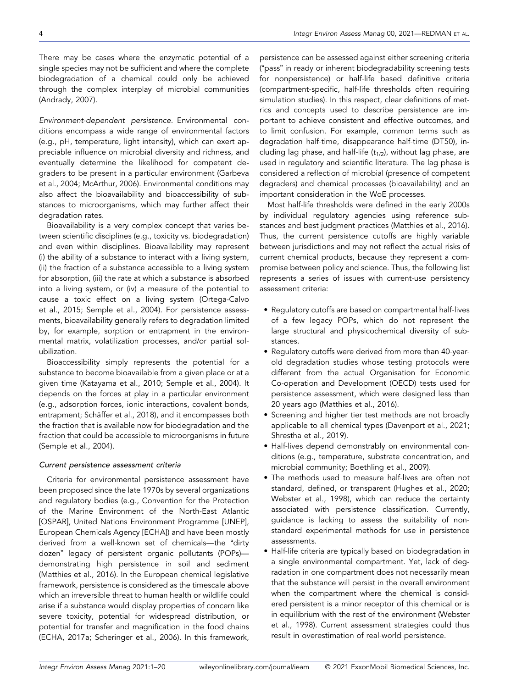There may be cases where the enzymatic potential of a single species may not be sufficient and where the complete biodegradation of a chemical could only be achieved through the complex interplay of microbial communities (Andrady, 2007).

Environment‐dependent persistence. Environmental conditions encompass a wide range of environmental factors (e.g., pH, temperature, light intensity), which can exert appreciable influence on microbial diversity and richness, and eventually determine the likelihood for competent degraders to be present in a particular environment (Garbeva et al., 2004; McArthur, 2006). Environmental conditions may also affect the bioavailability and bioaccessibility of substances to microorganisms, which may further affect their degradation rates.

Bioavailability is a very complex concept that varies between scientific disciplines (e.g., toxicity vs. biodegradation) and even within disciplines. Bioavailability may represent (i) the ability of a substance to interact with a living system, (ii) the fraction of a substance accessible to a living system for absorption, (iii) the rate at which a substance is absorbed into a living system, or (iv) a measure of the potential to cause a toxic effect on a living system (Ortega‐Calvo et al., 2015; Semple et al., 2004). For persistence assessments, bioavailability generally refers to degradation limited by, for example, sorption or entrapment in the environmental matrix, volatilization processes, and/or partial solubilization.

Bioaccessibility simply represents the potential for a substance to become bioavailable from a given place or at a given time (Katayama et al., 2010; Semple et al., 2004). It depends on the forces at play in a particular environment (e.g., adsorption forces, ionic interactions, covalent bonds, entrapment; Schäffer et al., 2018), and it encompasses both the fraction that is available now for biodegradation and the fraction that could be accessible to microorganisms in future (Semple et al., 2004).

## Current persistence assessment criteria

Criteria for environmental persistence assessment have been proposed since the late 1970s by several organizations and regulatory bodies (e.g., Convention for the Protection of the Marine Environment of the North‐East Atlantic [OSPAR], United Nations Environment Programme [UNEP], European Chemicals Agency [ECHA]) and have been mostly derived from a well‐known set of chemicals—the "dirty dozen" legacy of persistent organic pollutants (POPs) demonstrating high persistence in soil and sediment (Matthies et al., 2016). In the European chemical legislative framework, persistence is considered as the timescale above which an irreversible threat to human health or wildlife could arise if a substance would display properties of concern like severe toxicity, potential for widespread distribution, or potential for transfer and magnification in the food chains (ECHA, 2017a; Scheringer et al., 2006). In this framework, persistence can be assessed against either screening criteria ("pass" in ready or inherent biodegradability screening tests for nonpersistence) or half‐life based definitive criteria (compartment‐specific, half‐life thresholds often requiring simulation studies). In this respect, clear definitions of metrics and concepts used to describe persistence are important to achieve consistent and effective outcomes, and to limit confusion. For example, common terms such as degradation half‐time, disappearance half‐time (DT50), including lag phase, and half-life  $(t_{1/2})$ , without lag phase, are used in regulatory and scientific literature. The lag phase is considered a reflection of microbial (presence of competent degraders) and chemical processes (bioavailability) and an important consideration in the WoE processes.

Most half‐life thresholds were defined in the early 2000s by individual regulatory agencies using reference substances and best judgment practices (Matthies et al., 2016). Thus, the current persistence cutoffs are highly variable between jurisdictions and may not reflect the actual risks of current chemical products, because they represent a compromise between policy and science. Thus, the following list represents a series of issues with current‐use persistency assessment criteria:

- Regulatory cutoffs are based on compartmental half‐lives of a few legacy POPs, which do not represent the large structural and physicochemical diversity of substances.
- Regulatory cutoffs were derived from more than 40‐year‐ old degradation studies whose testing protocols were different from the actual Organisation for Economic Co‐operation and Development (OECD) tests used for persistence assessment, which were designed less than 20 years ago (Matthies et al., 2016).
- Screening and higher tier test methods are not broadly applicable to all chemical types (Davenport et al., 2021; Shrestha et al., 2019).
- Half‐lives depend demonstrably on environmental conditions (e.g., temperature, substrate concentration, and microbial community; Boethling et al., 2009).
- The methods used to measure half‐lives are often not standard, defined, or transparent (Hughes et al., 2020; Webster et al., 1998), which can reduce the certainty associated with persistence classification. Currently, guidance is lacking to assess the suitability of nonstandard experimental methods for use in persistence assessments.
- Half‐life criteria are typically based on biodegradation in a single environmental compartment. Yet, lack of degradation in one compartment does not necessarily mean that the substance will persist in the overall environment when the compartment where the chemical is considered persistent is a minor receptor of this chemical or is in equilibrium with the rest of the environment (Webster et al., 1998). Current assessment strategies could thus result in overestimation of real‐world persistence.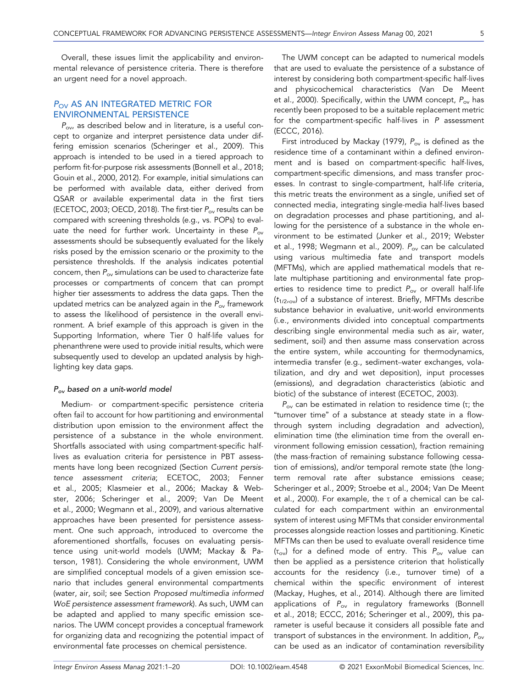Overall, these issues limit the applicability and environmental relevance of persistence criteria. There is therefore an urgent need for a novel approach.

# P<sub>OV</sub> AS AN INTEGRATED METRIC FOR ENVIRONMENTAL PERSISTENCE

 $P_{\text{ov}}$  as described below and in literature, is a useful concept to organize and interpret persistence data under differing emission scenarios (Scheringer et al., 2009). This approach is intended to be used in a tiered approach to perform fit-for-purpose risk assessments (Bonnell et al., 2018; Gouin et al., 2000, 2012). For example, initial simulations can be performed with available data, either derived from QSAR or available experimental data in the first tiers (ECETOC, 2003; OECD, 2018). The first-tier  $P_{ov}$  results can be compared with screening thresholds (e.g., vs. POPs) to evaluate the need for further work. Uncertainty in these  $P_{ov}$ assessments should be subsequently evaluated for the likely risks posed by the emission scenario or the proximity to the persistence thresholds. If the analysis indicates potential concern, then  $P_{\text{ov}}$  simulations can be used to characterize fate processes or compartments of concern that can prompt higher tier assessments to address the data gaps. Then the updated metrics can be analyzed again in the  $P_{ov}$  framework to assess the likelihood of persistence in the overall environment. A brief example of this approach is given in the Supporting Information, where Tier 0 half‐life values for phenanthrene were used to provide initial results, which were subsequently used to develop an updated analysis by highlighting key data gaps.

# $P_{ov}$  based on a unit-world model

Medium‐ or compartment‐specific persistence criteria often fail to account for how partitioning and environmental distribution upon emission to the environment affect the persistence of a substance in the whole environment. Shortfalls associated with using compartment‐specific half‐ lives as evaluation criteria for persistence in PBT assessments have long been recognized (Section Current persistence assessment criteria; ECETOC, 2003; Fenner et al., 2005; Klasmeier et al., 2006; Mackay & Webster, 2006; Scheringer et al., 2009; Van De Meent et al., 2000; Wegmann et al., 2009), and various alternative approaches have been presented for persistence assessment. One such approach, introduced to overcome the aforementioned shortfalls, focuses on evaluating persistence using unit‐world models (UWM; Mackay & Paterson, 1981). Considering the whole environment, UWM are simplified conceptual models of a given emission scenario that includes general environmental compartments (water, air, soil; see Section Proposed multimedia informed WoE persistence assessment framework). As such, UWM can be adapted and applied to many specific emission scenarios. The UWM concept provides a conceptual framework for organizing data and recognizing the potential impact of environmental fate processes on chemical persistence.

The UWM concept can be adapted to numerical models that are used to evaluate the persistence of a substance of interest by considering both compartment‐specific half‐lives and physicochemical characteristics (Van De Meent et al., 2000). Specifically, within the UWM concept,  $P_{\text{ov}}$  has recently been proposed to be a suitable replacement metric for the compartment-specific half-lives in P assessment (ECCC, 2016).

First introduced by Mackay (1979),  $P_{ov}$  is defined as the residence time of a contaminant within a defined environment and is based on compartment‐specific half‐lives, compartment‐specific dimensions, and mass transfer processes. In contrast to single‐compartment, half‐life criteria, this metric treats the environment as a single, unified set of connected media, integrating single‐media half‐lives based on degradation processes and phase partitioning, and allowing for the persistence of a substance in the whole environment to be estimated (Junker et al., 2019; Webster et al., 1998; Wegmann et al., 2009).  $P_{ov}$  can be calculated using various multimedia fate and transport models (MFTMs), which are applied mathematical models that relate multiphase partitioning and environmental fate properties to residence time to predict  $P_{ov}$  or overall half-life  $(t_{1/2\text{row}})$  of a substance of interest. Briefly, MFTMs describe substance behavior in evaluative, unit‐world environments (i.e., environments divided into conceptual compartments describing single environmental media such as air, water, sediment, soil) and then assume mass conservation across the entire system, while accounting for thermodynamics, intermedia transfer (e.g., sediment–water exchanges, volatilization, and dry and wet deposition), input processes (emissions), and degradation characteristics (abiotic and biotic) of the substance of interest (ECETOC, 2003).

 $P_{ov}$  can be estimated in relation to residence time (τ; the "turnover time" of a substance at steady state in a flow‐ through system including degradation and advection), elimination time (the elimination time from the overall environment following emission cessation), fraction remaining (the mass‐fraction of remaining substance following cessation of emissions), and/or temporal remote state (the long‐ term removal rate after substance emissions cease; Scheringer et al., 2009; Stroebe et al., 2004; Van De Meent et al., 2000). For example, the τ of a chemical can be calculated for each compartment within an environmental system of interest using MFTMs that consider environmental processes alongside reaction losses and partitioning. Kinetic MFTMs can then be used to evaluate overall residence time  $(\tau_{ov})$  for a defined mode of entry. This  $P_{ov}$  value can then be applied as a persistence criterion that holistically accounts for the residency (i.e., turnover time) of a chemical within the specific environment of interest (Mackay, Hughes, et al., 2014). Although there are limited applications of  $P_{ov}$  in regulatory frameworks (Bonnell et al., 2018; ECCC, 2016; Scheringer et al., 2009), this parameter is useful because it considers all possible fate and transport of substances in the environment. In addition,  $P_{ov}$ can be used as an indicator of contamination reversibility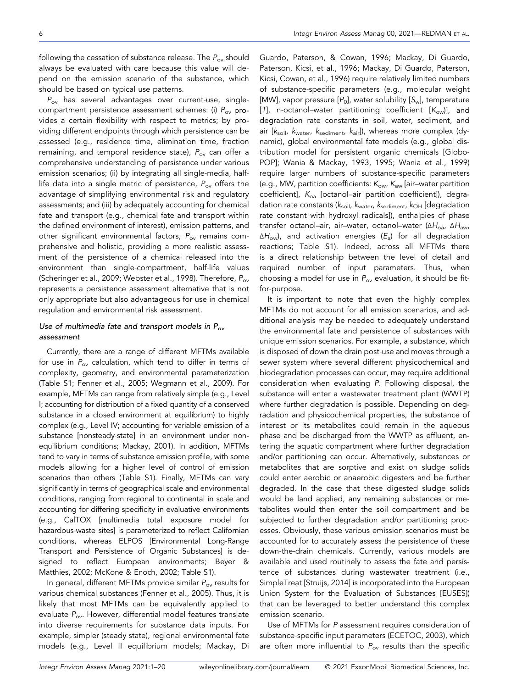following the cessation of substance release. The  $P_{ov}$  should always be evaluated with care because this value will depend on the emission scenario of the substance, which should be based on typical use patterns.

 $P_{ov}$  has several advantages over current-use, singlecompartment persistence assessment schemes: (i)  $P_{ov}$  provides a certain flexibility with respect to metrics; by providing different endpoints through which persistence can be assessed (e.g., residence time, elimination time, fraction remaining, and temporal residence state),  $P_{ov}$  can offer a comprehensive understanding of persistence under various emission scenarios; (ii) by integrating all single-media, halflife data into a single metric of persistence,  $P_{ov}$  offers the advantage of simplifying environmental risk and regulatory assessments; and (iii) by adequately accounting for chemical fate and transport (e.g., chemical fate and transport within the defined environment of interest), emission patterns, and other significant environmental factors,  $P_{ov}$  remains comprehensive and holistic, providing a more realistic assessment of the persistence of a chemical released into the environment than single‐compartment, half‐life values (Scheringer et al., 2009; Webster et al., 1998). Therefore, P<sub>ov</sub> represents a persistence assessment alternative that is not only appropriate but also advantageous for use in chemical regulation and environmental risk assessment.

# Use of multimedia fate and transport models in  $P_{ov}$ assessment

Currently, there are a range of different MFTMs available for use in  $P_{ov}$  calculation, which tend to differ in terms of complexity, geometry, and environmental parameterization (Table S1; Fenner et al., 2005; Wegmann et al., 2009). For example, MFTMs can range from relatively simple (e.g., Level I; accounting for distribution of a fixed quantity of a conserved substance in a closed environment at equilibrium) to highly complex (e.g., Level IV; accounting for variable emission of a substance [nonsteady‐state] in an environment under nonequilibrium conditions; Mackay, 2001). In addition, MFTMs tend to vary in terms of substance emission profile, with some models allowing for a higher level of control of emission scenarios than others (Table S1). Finally, MFTMs can vary significantly in terms of geographical scale and environmental conditions, ranging from regional to continental in scale and accounting for differing specificity in evaluative environments (e.g., CalTOX [multimedia total exposure model for hazardous‐waste sites] is parameterized to reflect Californian conditions, whereas ELPOS [Environmental Long‐Range Transport and Persistence of Organic Substances] is designed to reflect European environments; Beyer & Matthies, 2002; McKone & Enoch, 2002; Table S1).

In general, different MFTMs provide similar  $P_{ov}$  results for various chemical substances (Fenner et al., 2005). Thus, it is likely that most MFTMs can be equivalently applied to evaluate  $P_{\text{ov}}$ . However, differential model features translate into diverse requirements for substance data inputs. For example, simpler (steady state), regional environmental fate models (e.g., Level II equilibrium models; Mackay, Di Guardo, Paterson, & Cowan, 1996; Mackay, Di Guardo, Paterson, Kicsi, et al., 1996; Mackay, Di Guardo, Paterson, Kicsi, Cowan, et al., 1996) require relatively limited numbers of substance‐specific parameters (e.g., molecular weight [MW], vapor pressure  $[P_0]$ , water solubility  $[S_w]$ , temperature [T], n-octanol–water partitioning coefficient  $[K_{ow}]$ ], and degradation rate constants in soil, water, sediment, and air  $[k_{\text{soil}}, k_{\text{water}}, k_{\text{sediment}}, k_{\text{air}}]$ ), whereas more complex (dynamic), global environmental fate models (e.g., global distribution model for persistent organic chemicals [Globo‐ POP]; Wania & Mackay, 1993, 1995; Wania et al., 1999) require larger numbers of substance‐specific parameters (e.g., MW, partition coefficients:  $K_{ow}$ ,  $K_{aw}$  [air–water partition coefficient],  $K_{oa}$  [octanol–air partition coefficient]), degradation rate constants ( $k_{\text{solid}}$ ,  $k_{\text{water}}$ ,  $k_{\text{sediment}}$ ,  $k_{\text{OH}}$  [degradation rate constant with hydroxyl radicals]), enthalpies of phase transfer octanol–air, air–water, octanol–water (ΔH<sub>oa</sub>, ΔH<sub>aw</sub>,  $\Delta H_{\text{ow}}$ ), and activation energies ( $E_{\text{a}}$ ) for all degradation reactions; Table S1). Indeed, across all MFTMs there is a direct relationship between the level of detail and required number of input parameters. Thus, when choosing a model for use in  $P_{ov}$  evaluation, it should be fitfor‐purpose.

It is important to note that even the highly complex MFTMs do not account for all emission scenarios, and additional analysis may be needed to adequately understand the environmental fate and persistence of substances with unique emission scenarios. For example, a substance, which is disposed of down the drain post-use and moves through a sewer system where several different physicochemical and biodegradation processes can occur, may require additional consideration when evaluating P. Following disposal, the substance will enter a wastewater treatment plant (WWTP) where further degradation is possible. Depending on degradation and physicochemical properties, the substance of interest or its metabolites could remain in the aqueous phase and be discharged from the WWTP as effluent, entering the aquatic compartment where further degradation and/or partitioning can occur. Alternatively, substances or metabolites that are sorptive and exist on sludge solids could enter aerobic or anaerobic digesters and be further degraded. In the case that these digested sludge solids would be land applied, any remaining substances or metabolites would then enter the soil compartment and be subjected to further degradation and/or partitioning processes. Obviously, these various emission scenarios must be accounted for to accurately assess the persistence of these down‐the‐drain chemicals. Currently, various models are available and used routinely to assess the fate and persistence of substances during wastewater treatment (i.e., SimpleTreat [Struijs, 2014] is incorporated into the European Union System for the Evaluation of Substances [EUSES]) that can be leveraged to better understand this complex emission scenario.

Use of MFTMs for P assessment requires consideration of substance‐specific input parameters (ECETOC, 2003), which are often more influential to  $P_{ov}$  results than the specific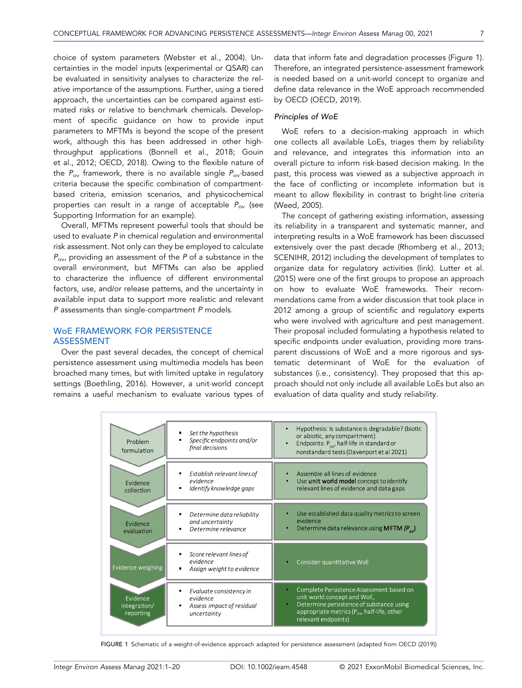choice of system parameters (Webster et al., 2004). Uncertainties in the model inputs (experimental or QSAR) can be evaluated in sensitivity analyses to characterize the relative importance of the assumptions. Further, using a tiered approach, the uncertainties can be compared against estimated risks or relative to benchmark chemicals. Development of specific guidance on how to provide input parameters to MFTMs is beyond the scope of the present work, although this has been addressed in other high‐ throughput applications (Bonnell et al., 2018; Gouin et al., 2012; OECD, 2018). Owing to the flexible nature of the  $P_{ov}$  framework, there is no available single  $P_{ov}$ -based criteria because the specific combination of compartment‐ based criteria, emission scenarios, and physicochemical properties can result in a range of acceptable  $P_{ov}$  (see Supporting Information for an example).

Overall, MFTMs represent powerful tools that should be used to evaluate P in chemical regulation and environmental risk assessment. Not only can they be employed to calculate  $P_{\text{ov}}$ , providing an assessment of the P of a substance in the overall environment, but MFTMs can also be applied to characterize the influence of different environmental factors, use, and/or release patterns, and the uncertainty in available input data to support more realistic and relevant P assessments than single‐compartment P models.

# WoE FRAMEWORK FOR PERSISTENCE ASSESSMENT

Over the past several decades, the concept of chemical persistence assessment using multimedia models has been broached many times, but with limited uptake in regulatory settings (Boethling, 2016). However, a unit‐world concept remains a useful mechanism to evaluate various types of data that inform fate and degradation processes (Figure 1). Therefore, an integrated persistence‐assessment framework is needed based on a unit‐world concept to organize and define data relevance in the WoE approach recommended by OECD (OECD, 2019).

#### Principles of WoE

WoE refers to a decision-making approach in which one collects all available LoEs, triages them by reliability and relevance, and integrates this information into an overall picture to inform risk‐based decision making. In the past, this process was viewed as a subjective approach in the face of conflicting or incomplete information but is meant to allow flexibility in contrast to bright‐line criteria (Weed, 2005).

The concept of gathering existing information, assessing its reliability in a transparent and systematic manner, and interpreting results in a WoE framework has been discussed extensively over the past decade (Rhomberg et al., 2013; SCENIHR, 2012) including the development of templates to organize data for regulatory activities (link). Lutter et al. (2015) were one of the first groups to propose an approach on how to evaluate WoE frameworks. Their recommendations came from a wider discussion that took place in 2012 among a group of scientific and regulatory experts who were involved with agriculture and pest management. Their proposal included formulating a hypothesis related to specific endpoints under evaluation, providing more transparent discussions of WoE and a more rigorous and systematic determinant of WoE for the evaluation of substances (i.e., consistency). They proposed that this approach should not only include all available LoEs but also an evaluation of data quality and study reliability.

| Problem<br>formulation                | Set the hypothesis<br>п<br>Specific endpoints and/or<br>final decisions                   | Hypothesis: Is substance is degradable? (biotic<br>$\bullet$<br>or abiotic, any compartment)<br>Endpoints: $P_{av}$ , half-life in standard or<br>$\bullet$<br>nonstandard tests (Davenport et al 2021) |
|---------------------------------------|-------------------------------------------------------------------------------------------|---------------------------------------------------------------------------------------------------------------------------------------------------------------------------------------------------------|
| Evidence<br>collection                | Establish relevant lines of<br>evidence<br>Identify knowledge gaps<br>п                   | Assemble all lines of evidence<br>Use unit world model concept to identify<br>relevant lines of evidence and data gaps                                                                                  |
| Evidence<br>evaluation                | Determine data reliability<br>п<br>and uncertainty<br>Determine relevance<br>n            | Use established data quality metrics to screen<br>evidence<br>Determine data relevance using <b>MFTM</b> $(P_{n})$                                                                                      |
| Evidence weighing                     | Score relevant lines of<br>п<br>evidence<br>Assign weight to evidence<br>п                | Consider quantitative WoE                                                                                                                                                                               |
| Evidence<br>integration/<br>reporting | Evaluate consistency in<br>π<br>evidence<br>Assess impact of residual<br>п<br>uncertainty | Complete Persistence Assessment based on<br>unit world concept and WoE,<br>Determine persistence of substance using<br>appropriate metrics ( $P_{ov}$ , half-life, other<br>relevant endpoints)         |

FIGURE 1 Schematic of a weight-of-evidence approach adapted for persistence assessment (adapted from OECD (2019))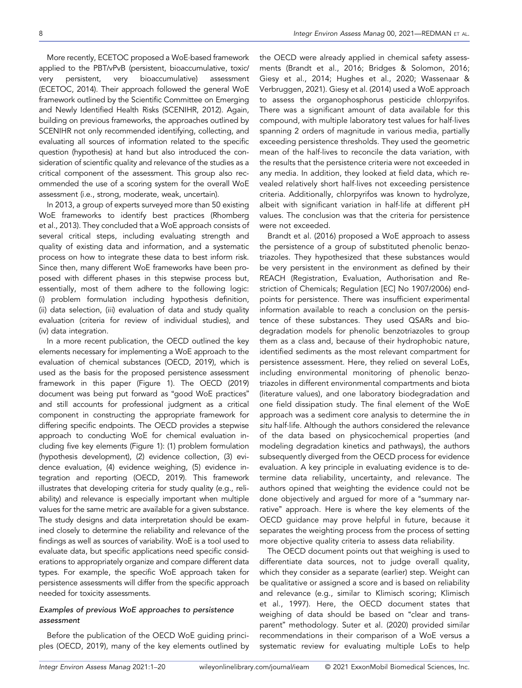More recently, ECETOC proposed a WoE‐based framework applied to the PBT/vPvB (persistent, bioaccumulative, toxic/ very persistent, very bioaccumulative) assessment (ECETOC, 2014). Their approach followed the general WoE framework outlined by the Scientific Committee on Emerging and Newly Identified Health Risks (SCENIHR, 2012). Again, building on previous frameworks, the approaches outlined by SCENIHR not only recommended identifying, collecting, and evaluating all sources of information related to the specific question (hypothesis) at hand but also introduced the consideration of scientific quality and relevance of the studies as a critical component of the assessment. This group also recommended the use of a scoring system for the overall WoE assessment (i.e., strong, moderate, weak, uncertain).

In 2013, a group of experts surveyed more than 50 existing WoE frameworks to identify best practices (Rhomberg et al., 2013). They concluded that a WoE approach consists of several critical steps, including evaluating strength and quality of existing data and information, and a systematic process on how to integrate these data to best inform risk. Since then, many different WoE frameworks have been proposed with different phases in this stepwise process but, essentially, most of them adhere to the following logic: (i) problem formulation including hypothesis definition, (ii) data selection, (iii) evaluation of data and study quality evaluation (criteria for review of individual studies), and (iv) data integration.

In a more recent publication, the OECD outlined the key elements necessary for implementing a WoE approach to the evaluation of chemical substances (OECD, 2019), which is used as the basis for the proposed persistence assessment framework in this paper (Figure 1). The OECD (2019) document was being put forward as "good WoE practices" and still accounts for professional judgment as a critical component in constructing the appropriate framework for differing specific endpoints. The OECD provides a stepwise approach to conducting WoE for chemical evaluation including five key elements (Figure 1): (1) problem formulation (hypothesis development), (2) evidence collection, (3) evidence evaluation, (4) evidence weighing, (5) evidence integration and reporting (OECD, 2019). This framework illustrates that developing criteria for study quality (e.g., reliability) and relevance is especially important when multiple values for the same metric are available for a given substance. The study designs and data interpretation should be examined closely to determine the reliability and relevance of the findings as well as sources of variability. WoE is a tool used to evaluate data, but specific applications need specific considerations to appropriately organize and compare different data types. For example, the specific WoE approach taken for persistence assessments will differ from the specific approach needed for toxicity assessments.

# Examples of previous WoE approaches to persistence assessment

Before the publication of the OECD WoE guiding principles (OECD, 2019), many of the key elements outlined by the OECD were already applied in chemical safety assessments (Brandt et al., 2016; Bridges & Solomon, 2016; Giesy et al., 2014; Hughes et al., 2020; Wassenaar & Verbruggen, 2021). Giesy et al. (2014) used a WoE approach to assess the organophosphorus pesticide chlorpyrifos. There was a significant amount of data available for this compound, with multiple laboratory test values for half‐lives spanning 2 orders of magnitude in various media, partially exceeding persistence thresholds. They used the geometric mean of the half‐lives to reconcile the data variation, with the results that the persistence criteria were not exceeded in any media. In addition, they looked at field data, which revealed relatively short half‐lives not exceeding persistence criteria. Additionally, chlorpyrifos was known to hydrolyze, albeit with significant variation in half‐life at different pH values. The conclusion was that the criteria for persistence were not exceeded.

Brandt et al. (2016) proposed a WoE approach to assess the persistence of a group of substituted phenolic benzotriazoles. They hypothesized that these substances would be very persistent in the environment as defined by their REACH (Registration, Evaluation, Authorisation and Restriction of Chemicals; Regulation [EC] No 1907/2006) endpoints for persistence. There was insufficient experimental information available to reach a conclusion on the persistence of these substances. They used QSARs and biodegradation models for phenolic benzotriazoles to group them as a class and, because of their hydrophobic nature, identified sediments as the most relevant compartment for persistence assessment. Here, they relied on several LoEs, including environmental monitoring of phenolic benzotriazoles in different environmental compartments and biota (literature values), and one laboratory biodegradation and one field dissipation study. The final element of the WoE approach was a sediment core analysis to determine the in situ half-life. Although the authors considered the relevance of the data based on physicochemical properties (and modeling degradation kinetics and pathways), the authors subsequently diverged from the OECD process for evidence evaluation. A key principle in evaluating evidence is to determine data reliability, uncertainty, and relevance. The authors opined that weighting the evidence could not be done objectively and argued for more of a "summary narrative" approach. Here is where the key elements of the OECD guidance may prove helpful in future, because it separates the weighting process from the process of setting more objective quality criteria to assess data reliability.

The OECD document points out that weighing is used to differentiate data sources, not to judge overall quality, which they consider as a separate (earlier) step. Weight can be qualitative or assigned a score and is based on reliability and relevance (e.g., similar to Klimisch scoring; Klimisch et al., 1997). Here, the OECD document states that weighing of data should be based on "clear and transparent" methodology. Suter et al. (2020) provided similar recommendations in their comparison of a WoE versus a systematic review for evaluating multiple LoEs to help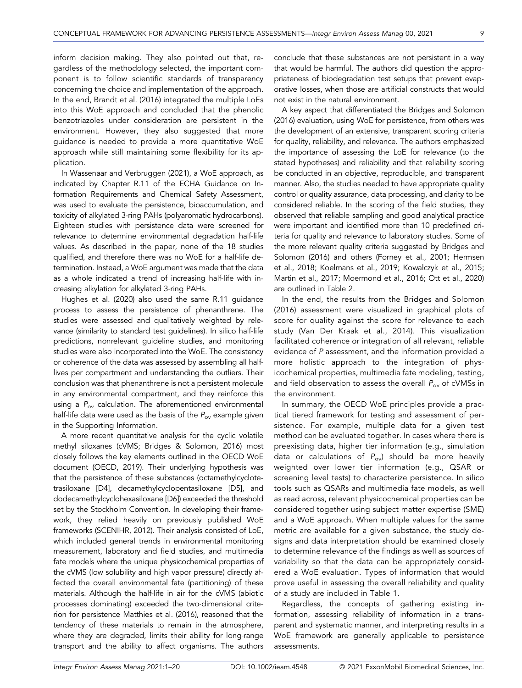inform decision making. They also pointed out that, regardless of the methodology selected, the important component is to follow scientific standards of transparency concerning the choice and implementation of the approach. In the end, Brandt et al. (2016) integrated the multiple LoEs into this WoE approach and concluded that the phenolic benzotriazoles under consideration are persistent in the environment. However, they also suggested that more guidance is needed to provide a more quantitative WoE approach while still maintaining some flexibility for its application.

In Wassenaar and Verbruggen (2021), a WoE approach, as indicated by Chapter R.11 of the ECHA Guidance on Information Requirements and Chemical Safety Assessment, was used to evaluate the persistence, bioaccumulation, and toxicity of alkylated 3‐ring PAHs (polyaromatic hydrocarbons). Eighteen studies with persistence data were screened for relevance to determine environmental degradation half‐life values. As described in the paper, none of the 18 studies qualified, and therefore there was no WoE for a half‐life determination. Instead, a WoE argument was made that the data as a whole indicated a trend of increasing half‐life with increasing alkylation for alkylated 3‐ring PAHs.

Hughes et al. (2020) also used the same R.11 guidance process to assess the persistence of phenanthrene. The studies were assessed and qualitatively weighted by relevance (similarity to standard test guidelines). In silico half‐life predictions, nonrelevant guideline studies, and monitoring studies were also incorporated into the WoE. The consistency or coherence of the data was assessed by assembling all half‐ lives per compartment and understanding the outliers. Their conclusion was that phenanthrene is not a persistent molecule in any environmental compartment, and they reinforce this using a  $P_{ov}$  calculation. The aforementioned environmental half-life data were used as the basis of the  $P_{ov}$  example given in the Supporting Information.

A more recent quantitative analysis for the cyclic volatile methyl siloxanes (cVMS; Bridges & Solomon, 2016) most closely follows the key elements outlined in the OECD WoE document (OECD, 2019). Their underlying hypothesis was that the persistence of these substances (octamethylcyclotetrasiloxane [D4], decamethylcyclopentasiloxane [D5], and dodecamethylcyclohexasiloxane [D6]) exceeded the threshold set by the Stockholm Convention. In developing their framework, they relied heavily on previously published WoE frameworks (SCENIHR, 2012). Their analysis consisted of LoE, which included general trends in environmental monitoring measurement, laboratory and field studies, and multimedia fate models where the unique physicochemical properties of the cVMS (low solubility and high vapor pressure) directly affected the overall environmental fate (partitioning) of these materials. Although the half‐life in air for the cVMS (abiotic processes dominating) exceeded the two-dimensional criterion for persistence Matthies et al. (2016), reasoned that the tendency of these materials to remain in the atmosphere, where they are degraded, limits their ability for long-range transport and the ability to affect organisms. The authors conclude that these substances are not persistent in a way that would be harmful. The authors did question the appropriateness of biodegradation test setups that prevent evaporative losses, when those are artificial constructs that would not exist in the natural environment.

A key aspect that differentiated the Bridges and Solomon (2016) evaluation, using WoE for persistence, from others was the development of an extensive, transparent scoring criteria for quality, reliability, and relevance. The authors emphasized the importance of assessing the LoE for relevance (to the stated hypotheses) and reliability and that reliability scoring be conducted in an objective, reproducible, and transparent manner. Also, the studies needed to have appropriate quality control or quality assurance, data processing, and clarity to be considered reliable. In the scoring of the field studies, they observed that reliable sampling and good analytical practice were important and identified more than 10 predefined criteria for quality and relevance to laboratory studies. Some of the more relevant quality criteria suggested by Bridges and Solomon (2016) and others (Forney et al., 2001; Hermsen et al., 2018; Koelmans et al., 2019; Kowalczyk et al., 2015; Martin et al., 2017; Moermond et al., 2016; Ott et al., 2020) are outlined in Table 2.

In the end, the results from the Bridges and Solomon (2016) assessment were visualized in graphical plots of score for quality against the score for relevance to each study (Van Der Kraak et al., 2014). This visualization facilitated coherence or integration of all relevant, reliable evidence of P assessment, and the information provided a more holistic approach to the integration of physicochemical properties, multimedia fate modeling, testing, and field observation to assess the overall  $P_{ov}$  of cVMSs in the environment.

In summary, the OECD WoE principles provide a practical tiered framework for testing and assessment of persistence. For example, multiple data for a given test method can be evaluated together. In cases where there is preexisting data, higher tier information (e.g., simulation data or calculations of  $P_{ov}$ ) should be more heavily weighted over lower tier information (e.g., QSAR or screening level tests) to characterize persistence. In silico tools such as QSARs and multimedia fate models, as well as read across, relevant physicochemical properties can be considered together using subject matter expertise (SME) and a WoE approach. When multiple values for the same metric are available for a given substance, the study designs and data interpretation should be examined closely to determine relevance of the findings as well as sources of variability so that the data can be appropriately considered a WoE evaluation. Types of information that would prove useful in assessing the overall reliability and quality of a study are included in Table 1.

Regardless, the concepts of gathering existing information, assessing reliability of information in a transparent and systematic manner, and interpreting results in a WoE framework are generally applicable to persistence assessments.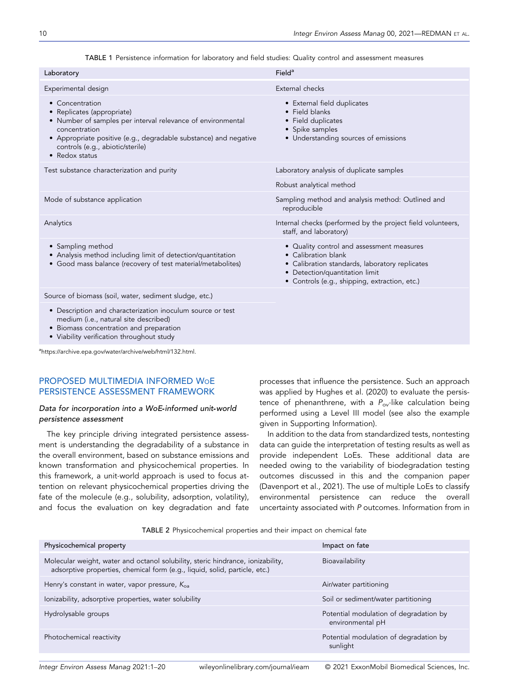TABLE 1 Persistence information for laboratory and field studies: Quality control and assessment measures

| Laboratory                                                                                                                                                                                                                                              | Field <sup>a</sup>                                                                                                                                                                                    |
|---------------------------------------------------------------------------------------------------------------------------------------------------------------------------------------------------------------------------------------------------------|-------------------------------------------------------------------------------------------------------------------------------------------------------------------------------------------------------|
| Experimental design                                                                                                                                                                                                                                     | External checks                                                                                                                                                                                       |
| • Concentration<br>• Replicates (appropriate)<br>• Number of samples per interval relevance of environmental<br>concentration<br>• Appropriate positive (e.g., degradable substance) and negative<br>controls (e.g., abiotic/sterile)<br>• Redox status | • External field duplicates<br>• Field blanks<br>• Field duplicates<br>• Spike samples<br>• Understanding sources of emissions                                                                        |
| Test substance characterization and purity                                                                                                                                                                                                              | Laboratory analysis of duplicate samples                                                                                                                                                              |
|                                                                                                                                                                                                                                                         | Robust analytical method                                                                                                                                                                              |
| Mode of substance application                                                                                                                                                                                                                           | Sampling method and analysis method: Outlined and<br>reproducible                                                                                                                                     |
| Analytics                                                                                                                                                                                                                                               | Internal checks (performed by the project field volunteers,<br>staff, and laboratory)                                                                                                                 |
| • Sampling method<br>• Analysis method including limit of detection/quantitation<br>• Good mass balance (recovery of test material/metabolites)                                                                                                         | • Quality control and assessment measures<br>• Calibration blank<br>• Calibration standards, laboratory replicates<br>• Detection/quantitation limit<br>• Controls (e.g., shipping, extraction, etc.) |
| Source of biomass (soil, water, sediment sludge, etc.)                                                                                                                                                                                                  |                                                                                                                                                                                                       |
| • Description and characterization inoculum source or test<br>medium (i.e., natural site described)<br>• Biomass concentration and preparation<br>• Viability verification throughout study                                                             |                                                                                                                                                                                                       |
| $\frac{1}{2}$                                                                                                                                                                                                                                           |                                                                                                                                                                                                       |

a rchive.epa.gov/water/archive/web/html/132.html

# PROPOSED MULTIMEDIA INFORMED WOE PERSISTENCE ASSESSMENT FRAMEWORK

## Data for incorporation into a WoE‐informed unit‐world persistence assessment

The key principle driving integrated persistence assessment is understanding the degradability of a substance in the overall environment, based on substance emissions and known transformation and physicochemical properties. In this framework, a unit‐world approach is used to focus attention on relevant physicochemical properties driving the fate of the molecule (e.g., solubility, adsorption, volatility), and focus the evaluation on key degradation and fate

processes that influence the persistence. Such an approach was applied by Hughes et al. (2020) to evaluate the persistence of phenanthrene, with a  $P_{ov}$ -like calculation being performed using a Level III model (see also the example given in Supporting Information).

In addition to the data from standardized tests, nontesting data can guide the interpretation of testing results as well as provide independent LoEs. These additional data are needed owing to the variability of biodegradation testing outcomes discussed in this and the companion paper (Davenport et al., 2021). The use of multiple LoEs to classify environmental persistence can reduce the overall uncertainty associated with P outcomes. Information from in

TABLE 2 Physicochemical properties and their impact on chemical fate

| Physicochemical property                                                                                                                                      | Impact on fate                                             |
|---------------------------------------------------------------------------------------------------------------------------------------------------------------|------------------------------------------------------------|
| Molecular weight, water and octanol solubility, steric hindrance, ionizability,<br>adsorptive properties, chemical form (e.g., liquid, solid, particle, etc.) | Bioavailability                                            |
| Henry's constant in water, vapor pressure, $K_{oa}$                                                                                                           | Air/water partitioning                                     |
| lonizability, adsorptive properties, water solubility                                                                                                         | Soil or sediment/water partitioning                        |
| Hydrolysable groups                                                                                                                                           | Potential modulation of degradation by<br>environmental pH |
| Photochemical reactivity                                                                                                                                      | Potential modulation of degradation by<br>sunlight         |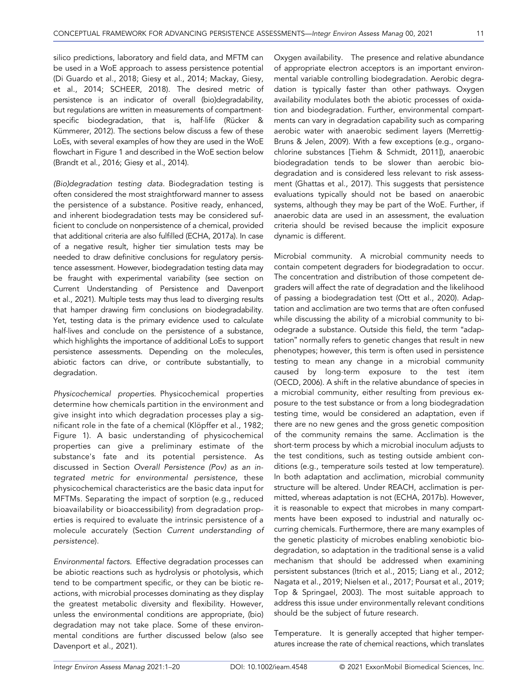silico predictions, laboratory and field data, and MFTM can be used in a WoE approach to assess persistence potential (Di Guardo et al., 2018; Giesy et al., 2014; Mackay, Giesy, et al., 2014; SCHEER, 2018). The desired metric of persistence is an indicator of overall (bio)degradability, but regulations are written in measurements of compartment‐ specific biodegradation, that is, half‐life (Rücker & Kümmerer, 2012). The sections below discuss a few of these LoEs, with several examples of how they are used in the WoE flowchart in Figure 1 and described in the WoE section below (Brandt et al., 2016; Giesy et al., 2014).

(Bio)degradation testing data. Biodegradation testing is often considered the most straightforward manner to assess the persistence of a substance. Positive ready, enhanced, and inherent biodegradation tests may be considered sufficient to conclude on nonpersistence of a chemical, provided that additional criteria are also fulfilled (ECHA, 2017a). In case of a negative result, higher tier simulation tests may be needed to draw definitive conclusions for regulatory persistence assessment. However, biodegradation testing data may be fraught with experimental variability (see section on Current Understanding of Persistence and Davenport et al., 2021). Multiple tests may thus lead to diverging results that hamper drawing firm conclusions on biodegradability. Yet, testing data is the primary evidence used to calculate half-lives and conclude on the persistence of a substance, which highlights the importance of additional LoEs to support persistence assessments. Depending on the molecules, abiotic factors can drive, or contribute substantially, to degradation.

Physicochemical properties. Physicochemical properties determine how chemicals partition in the environment and give insight into which degradation processes play a significant role in the fate of a chemical (Klöpffer et al., 1982; Figure 1). A basic understanding of physicochemical properties can give a preliminary estimate of the substance's fate and its potential persistence. As discussed in Section Overall Persistence (Pov) as an integrated metric for environmental persistence, these physicochemical characteristics are the basic data input for MFTMs. Separating the impact of sorption (e.g., reduced bioavailability or bioaccessibility) from degradation properties is required to evaluate the intrinsic persistence of a molecule accurately (Section Current understanding of persistence).

Environmental factors. Effective degradation processes can be abiotic reactions such as hydrolysis or photolysis, which tend to be compartment specific, or they can be biotic reactions, with microbial processes dominating as they display the greatest metabolic diversity and flexibility. However, unless the environmental conditions are appropriate, (bio) degradation may not take place. Some of these environmental conditions are further discussed below (also see Davenport et al., 2021).

Oxygen availability. The presence and relative abundance of appropriate electron acceptors is an important environmental variable controlling biodegradation. Aerobic degradation is typically faster than other pathways. Oxygen availability modulates both the abiotic processes of oxidation and biodegradation. Further, environmental compartments can vary in degradation capability such as comparing aerobic water with anaerobic sediment layers (Merrettig‐ Bruns & Jelen, 2009). With a few exceptions (e.g., organochlorine substances [Tiehm & Schmidt, 2011]), anaerobic biodegradation tends to be slower than aerobic biodegradation and is considered less relevant to risk assessment (Ghattas et al., 2017). This suggests that persistence evaluations typically should not be based on anaerobic systems, although they may be part of the WoE. Further, if anaerobic data are used in an assessment, the evaluation criteria should be revised because the implicit exposure dynamic is different.

Microbial community. A microbial community needs to contain competent degraders for biodegradation to occur. The concentration and distribution of those competent degraders will affect the rate of degradation and the likelihood of passing a biodegradation test (Ott et al., 2020). Adaptation and acclimation are two terms that are often confused while discussing the ability of a microbial community to biodegrade a substance. Outside this field, the term "adaptation" normally refers to genetic changes that result in new phenotypes; however, this term is often used in persistence testing to mean any change in a microbial community caused by long‐term exposure to the test item (OECD, 2006). A shift in the relative abundance of species in a microbial community, either resulting from previous exposure to the test substance or from a long biodegradation testing time, would be considered an adaptation, even if there are no new genes and the gross genetic composition of the community remains the same. Acclimation is the short‐term process by which a microbial inoculum adjusts to the test conditions, such as testing outside ambient conditions (e.g., temperature soils tested at low temperature). In both adaptation and acclimation, microbial community structure will be altered. Under REACH, acclimation is permitted, whereas adaptation is not (ECHA, 2017b). However, it is reasonable to expect that microbes in many compartments have been exposed to industrial and naturally occurring chemicals. Furthermore, there are many examples of the genetic plasticity of microbes enabling xenobiotic biodegradation, so adaptation in the traditional sense is a valid mechanism that should be addressed when examining persistent substances (Itrich et al., 2015; Liang et al., 2012; Nagata et al., 2019; Nielsen et al., 2017; Poursat et al., 2019; Top & Springael, 2003). The most suitable approach to address this issue under environmentally relevant conditions should be the subject of future research.

Temperature. It is generally accepted that higher temperatures increase the rate of chemical reactions, which translates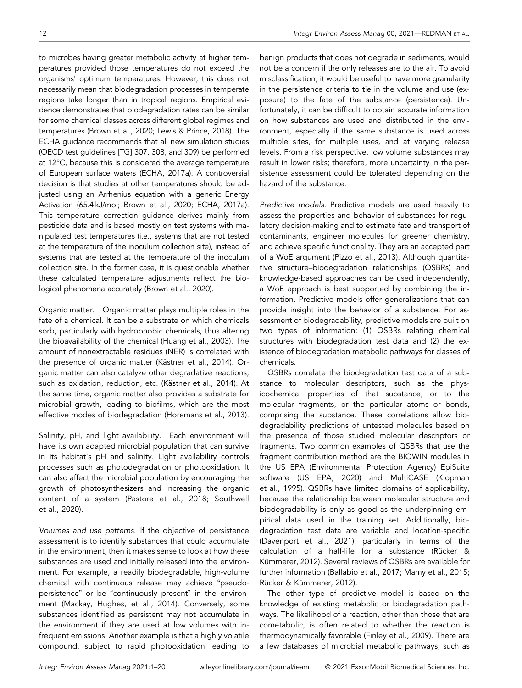to microbes having greater metabolic activity at higher temperatures provided those temperatures do not exceed the organisms' optimum temperatures. However, this does not necessarily mean that biodegradation processes in temperate regions take longer than in tropical regions. Empirical evidence demonstrates that biodegradation rates can be similar for some chemical classes across different global regimes and temperatures (Brown et al., 2020; Lewis & Prince, 2018). The ECHA guidance recommends that all new simulation studies (OECD test guidelines [TG] 307, 308, and 309) be performed at 12°C, because this is considered the average temperature of European surface waters (ECHA, 2017a). A controversial decision is that studies at other temperatures should be adjusted using an Arrhenius equation with a generic Energy Activation (65.4 kJ/mol; Brown et al., 2020; ECHA, 2017a). This temperature correction guidance derives mainly from pesticide data and is based mostly on test systems with manipulated test temperatures (i.e., systems that are not tested at the temperature of the inoculum collection site), instead of systems that are tested at the temperature of the inoculum collection site. In the former case, it is questionable whether these calculated temperature adjustments reflect the biological phenomena accurately (Brown et al., 2020).

Organic matter. Organic matter plays multiple roles in the fate of a chemical. It can be a substrate on which chemicals sorb, particularly with hydrophobic chemicals, thus altering the bioavailability of the chemical (Huang et al., 2003). The amount of nonextractable residues (NER) is correlated with the presence of organic matter (Kästner et al., 2014). Organic matter can also catalyze other degradative reactions, such as oxidation, reduction, etc. (Kästner et al., 2014). At the same time, organic matter also provides a substrate for microbial growth, leading to biofilms, which are the most effective modes of biodegradation (Horemans et al., 2013).

Salinity, pH, and light availability. Each environment will have its own adapted microbial population that can survive in its habitat's pH and salinity. Light availability controls processes such as photodegradation or photooxidation. It can also affect the microbial population by encouraging the growth of photosynthesizers and increasing the organic content of a system (Pastore et al., 2018; Southwell et al., 2020).

Volumes and use patterns. If the objective of persistence assessment is to identify substances that could accumulate in the environment, then it makes sense to look at how these substances are used and initially released into the environment. For example, a readily biodegradable, high‐volume chemical with continuous release may achieve "pseudo‐ persistence" or be "continuously present" in the environment (Mackay, Hughes, et al., 2014). Conversely, some substances identified as persistent may not accumulate in the environment if they are used at low volumes with infrequent emissions. Another example is that a highly volatile compound, subject to rapid photooxidation leading to

benign products that does not degrade in sediments, would not be a concern if the only releases are to the air. To avoid misclassification, it would be useful to have more granularity in the persistence criteria to tie in the volume and use (exposure) to the fate of the substance (persistence). Unfortunately, it can be difficult to obtain accurate information on how substances are used and distributed in the environment, especially if the same substance is used across multiple sites, for multiple uses, and at varying release levels. From a risk perspective, low volume substances may result in lower risks; therefore, more uncertainty in the persistence assessment could be tolerated depending on the hazard of the substance.

Predictive models. Predictive models are used heavily to assess the properties and behavior of substances for regulatory decision‐making and to estimate fate and transport of contaminants, engineer molecules for greener chemistry, and achieve specific functionality. They are an accepted part of a WoE argument (Pizzo et al., 2013). Although quantitative structure–biodegradation relationships (QSBRs) and knowledge‐based approaches can be used independently, a WoE approach is best supported by combining the information. Predictive models offer generalizations that can provide insight into the behavior of a substance. For assessment of biodegradability, predictive models are built on two types of information: (1) QSBRs relating chemical structures with biodegradation test data and (2) the existence of biodegradation metabolic pathways for classes of chemicals.

QSBRs correlate the biodegradation test data of a substance to molecular descriptors, such as the physicochemical properties of that substance, or to the molecular fragments, or the particular atoms or bonds, comprising the substance. These correlations allow biodegradability predictions of untested molecules based on the presence of those studied molecular descriptors or fragments. Two common examples of QSBRs that use the fragment contribution method are the BIOWIN modules in the US EPA (Environmental Protection Agency) EpiSuite software (US EPA, 2020) and MultiCASE (Klopman et al., 1995). QSBRs have limited domains of applicability, because the relationship between molecular structure and biodegradability is only as good as the underpinning empirical data used in the training set. Additionally, biodegradation test data are variable and location‐specific (Davenport et al., 2021), particularly in terms of the calculation of a half‐life for a substance (Rücker & Kümmerer, 2012). Several reviews of QSBRs are available for further information (Ballabio et al., 2017; Mamy et al., 2015; Rücker & Kümmerer, 2012).

The other type of predictive model is based on the knowledge of existing metabolic or biodegradation pathways. The likelihood of a reaction, other than those that are cometabolic, is often related to whether the reaction is thermodynamically favorable (Finley et al., 2009). There are a few databases of microbial metabolic pathways, such as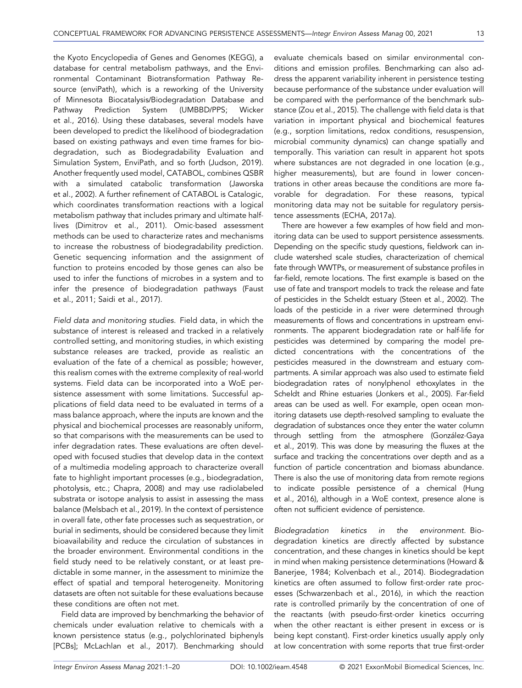the Kyoto Encyclopedia of Genes and Genomes (KEGG), a database for central metabolism pathways, and the Environmental Contaminant Biotransformation Pathway Resource (enviPath), which is a reworking of the University of Minnesota Biocatalysis/Biodegradation Database and Pathway Prediction System (UMBBD/PPS; Wicker et al., 2016). Using these databases, several models have been developed to predict the likelihood of biodegradation based on existing pathways and even time frames for biodegradation, such as Biodegradability Evaluation and Simulation System, EnviPath, and so forth (Judson, 2019). Another frequently used model, CATABOL, combines QSBR with a simulated catabolic transformation (Jaworska et al., 2002). A further refinement of CATABOL is Catalogic, which coordinates transformation reactions with a logical metabolism pathway that includes primary and ultimate half‐ lives (Dimitrov et al., 2011). Omic‐based assessment methods can be used to characterize rates and mechanisms to increase the robustness of biodegradability prediction. Genetic sequencing information and the assignment of function to proteins encoded by those genes can also be used to infer the functions of microbes in a system and to infer the presence of biodegradation pathways (Faust et al., 2011; Saidi et al., 2017).

Field data and monitoring studies. Field data, in which the substance of interest is released and tracked in a relatively controlled setting, and monitoring studies, in which existing substance releases are tracked, provide as realistic an evaluation of the fate of a chemical as possible; however, this realism comes with the extreme complexity of real‐world systems. Field data can be incorporated into a WoE persistence assessment with some limitations. Successful applications of field data need to be evaluated in terms of a mass balance approach, where the inputs are known and the physical and biochemical processes are reasonably uniform, so that comparisons with the measurements can be used to infer degradation rates. These evaluations are often developed with focused studies that develop data in the context of a multimedia modeling approach to characterize overall fate to highlight important processes (e.g., biodegradation, photolysis, etc.; Chapra, 2008) and may use radiolabeled substrata or isotope analysis to assist in assessing the mass balance (Melsbach et al., 2019). In the context of persistence in overall fate, other fate processes such as sequestration, or burial in sediments, should be considered because they limit bioavailability and reduce the circulation of substances in the broader environment. Environmental conditions in the field study need to be relatively constant, or at least predictable in some manner, in the assessment to minimize the effect of spatial and temporal heterogeneity. Monitoring datasets are often not suitable for these evaluations because these conditions are often not met.

Field data are improved by benchmarking the behavior of chemicals under evaluation relative to chemicals with a known persistence status (e.g., polychlorinated biphenyls [PCBs]; McLachlan et al., 2017). Benchmarking should

evaluate chemicals based on similar environmental conditions and emission profiles. Benchmarking can also address the apparent variability inherent in persistence testing because performance of the substance under evaluation will be compared with the performance of the benchmark substance (Zou et al., 2015). The challenge with field data is that variation in important physical and biochemical features (e.g., sorption limitations, redox conditions, resuspension, microbial community dynamics) can change spatially and temporally. This variation can result in apparent hot spots where substances are not degraded in one location (e.g., higher measurements), but are found in lower concentrations in other areas because the conditions are more favorable for degradation. For these reasons, typical monitoring data may not be suitable for regulatory persistence assessments (ECHA, 2017a).

There are however a few examples of how field and monitoring data can be used to support persistence assessments. Depending on the specific study questions, fieldwork can include watershed scale studies, characterization of chemical fate through WWTPs, or measurement of substance profiles in far-field, remote locations. The first example is based on the use of fate and transport models to track the release and fate of pesticides in the Scheldt estuary (Steen et al., 2002). The loads of the pesticide in a river were determined through measurements of flows and concentrations in upstream environments. The apparent biodegradation rate or half‐life for pesticides was determined by comparing the model predicted concentrations with the concentrations of the pesticides measured in the downstream and estuary compartments. A similar approach was also used to estimate field biodegradation rates of nonylphenol ethoxylates in the Scheldt and Rhine estuaries (Jonkers et al., 2005). Far‐field areas can be used as well. For example, open ocean monitoring datasets use depth‐resolved sampling to evaluate the degradation of substances once they enter the water column through settling from the atmosphere (González‐Gaya et al., 2019). This was done by measuring the fluxes at the surface and tracking the concentrations over depth and as a function of particle concentration and biomass abundance. There is also the use of monitoring data from remote regions to indicate possible persistence of a chemical (Hung et al., 2016), although in a WoE context, presence alone is often not sufficient evidence of persistence.

Biodegradation kinetics in the environment. Biodegradation kinetics are directly affected by substance concentration, and these changes in kinetics should be kept in mind when making persistence determinations (Howard & Banerjee, 1984; Kolvenbach et al., 2014). Biodegradation kinetics are often assumed to follow first‐order rate processes (Schwarzenbach et al., 2016), in which the reaction rate is controlled primarily by the concentration of one of the reactants (with pseudo‐first‐order kinetics occurring when the other reactant is either present in excess or is being kept constant). First‐order kinetics usually apply only at low concentration with some reports that true first‐order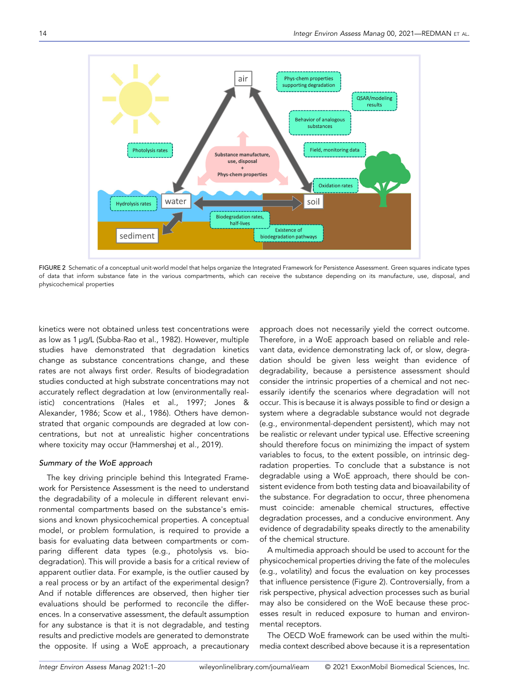

FIGURE 2 Schematic of a conceptual unit-world model that helps organize the Integrated Framework for Persistence Assessment. Green squares indicate types of data that inform substance fate in the various compartments, which can receive the substance depending on its manufacture, use, disposal, and physicochemical properties

kinetics were not obtained unless test concentrations were as low as 1 µg/L (Subba‐Rao et al., 1982). However, multiple studies have demonstrated that degradation kinetics change as substance concentrations change, and these rates are not always first order. Results of biodegradation studies conducted at high substrate concentrations may not accurately reflect degradation at low (environmentally realistic) concentrations (Hales et al., 1997; Jones & Alexander, 1986; Scow et al., 1986). Others have demonstrated that organic compounds are degraded at low concentrations, but not at unrealistic higher concentrations where toxicity may occur (Hammershøj et al., 2019).

## Summary of the WoE approach

The key driving principle behind this Integrated Framework for Persistence Assessment is the need to understand the degradability of a molecule in different relevant environmental compartments based on the substance's emissions and known physicochemical properties. A conceptual model, or problem formulation, is required to provide a basis for evaluating data between compartments or comparing different data types (e.g., photolysis vs. biodegradation). This will provide a basis for a critical review of apparent outlier data. For example, is the outlier caused by a real process or by an artifact of the experimental design? And if notable differences are observed, then higher tier evaluations should be performed to reconcile the differences. In a conservative assessment, the default assumption for any substance is that it is not degradable, and testing results and predictive models are generated to demonstrate the opposite. If using a WoE approach, a precautionary

approach does not necessarily yield the correct outcome. Therefore, in a WoE approach based on reliable and relevant data, evidence demonstrating lack of, or slow, degradation should be given less weight than evidence of degradability, because a persistence assessment should consider the intrinsic properties of a chemical and not necessarily identify the scenarios where degradation will not occur. This is because it is always possible to find or design a system where a degradable substance would not degrade (e.g., environmental‐dependent persistent), which may not be realistic or relevant under typical use. Effective screening should therefore focus on minimizing the impact of system variables to focus, to the extent possible, on intrinsic degradation properties. To conclude that a substance is not degradable using a WoE approach, there should be consistent evidence from both testing data and bioavailability of the substance. For degradation to occur, three phenomena must coincide: amenable chemical structures, effective degradation processes, and a conducive environment. Any evidence of degradability speaks directly to the amenability of the chemical structure.

A multimedia approach should be used to account for the physicochemical properties driving the fate of the molecules (e.g., volatility) and focus the evaluation on key processes that influence persistence (Figure 2). Controversially, from a risk perspective, physical advection processes such as burial may also be considered on the WoE because these processes result in reduced exposure to human and environmental receptors.

The OECD WoE framework can be used within the multimedia context described above because it is a representation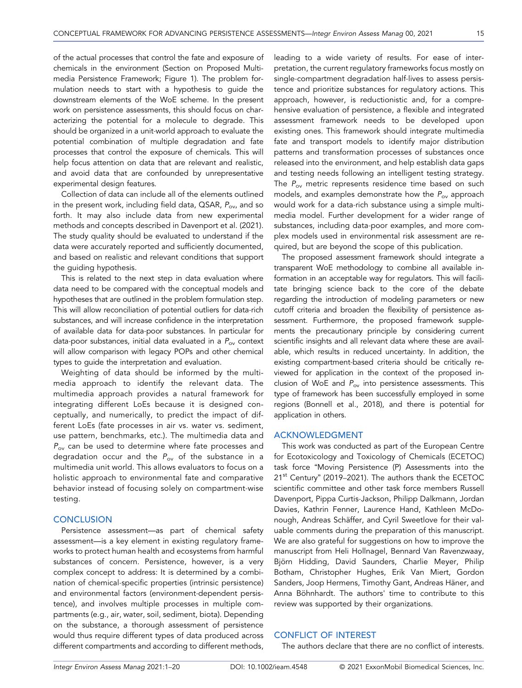of the actual processes that control the fate and exposure of chemicals in the environment (Section on Proposed Multimedia Persistence Framework; Figure 1). The problem formulation needs to start with a hypothesis to guide the downstream elements of the WoE scheme. In the present work on persistence assessments, this should focus on characterizing the potential for a molecule to degrade. This should be organized in a unit‐world approach to evaluate the potential combination of multiple degradation and fate processes that control the exposure of chemicals. This will help focus attention on data that are relevant and realistic, and avoid data that are confounded by unrepresentative experimental design features.

Collection of data can include all of the elements outlined in the present work, including field data,  $\triangle$ SAR,  $P_{ov}$ , and so forth. It may also include data from new experimental methods and concepts described in Davenport et al. (2021). The study quality should be evaluated to understand if the data were accurately reported and sufficiently documented, and based on realistic and relevant conditions that support the guiding hypothesis.

This is related to the next step in data evaluation where data need to be compared with the conceptual models and hypotheses that are outlined in the problem formulation step. This will allow reconciliation of potential outliers for data‐rich substances, and will increase confidence in the interpretation of available data for data‐poor substances. In particular for data-poor substances, initial data evaluated in a  $P_{\text{ov}}$  context will allow comparison with legacy POPs and other chemical types to guide the interpretation and evaluation.

Weighting of data should be informed by the multimedia approach to identify the relevant data. The multimedia approach provides a natural framework for integrating different LoEs because it is designed conceptually, and numerically, to predict the impact of different LoEs (fate processes in air vs. water vs. sediment, use pattern, benchmarks, etc.). The multimedia data and  $P_{\text{ov}}$  can be used to determine where fate processes and degradation occur and the  $P_{ov}$  of the substance in a multimedia unit world. This allows evaluators to focus on a holistic approach to environmental fate and comparative behavior instead of focusing solely on compartment‐wise testing.

## **CONCLUSION**

Persistence assessment—as part of chemical safety assessment—is a key element in existing regulatory frameworks to protect human health and ecosystems from harmful substances of concern. Persistence, however, is a very complex concept to address: It is determined by a combination of chemical‐specific properties (intrinsic persistence) and environmental factors (environment‐dependent persistence), and involves multiple processes in multiple compartments (e.g., air, water, soil, sediment, biota). Depending on the substance, a thorough assessment of persistence would thus require different types of data produced across different compartments and according to different methods, leading to a wide variety of results. For ease of interpretation, the current regulatory frameworks focus mostly on single‐compartment degradation half‐lives to assess persistence and prioritize substances for regulatory actions. This approach, however, is reductionistic and, for a comprehensive evaluation of persistence, a flexible and integrated assessment framework needs to be developed upon existing ones. This framework should integrate multimedia fate and transport models to identify major distribution patterns and transformation processes of substances once released into the environment, and help establish data gaps and testing needs following an intelligent testing strategy. The  $P_{ov}$  metric represents residence time based on such models, and examples demonstrate how the  $P_{ov}$  approach would work for a data‐rich substance using a simple multimedia model. Further development for a wider range of substances, including data‐poor examples, and more complex models used in environmental risk assessment are required, but are beyond the scope of this publication.

The proposed assessment framework should integrate a transparent WoE methodology to combine all available information in an acceptable way for regulators. This will facilitate bringing science back to the core of the debate regarding the introduction of modeling parameters or new cutoff criteria and broaden the flexibility of persistence assessment. Furthermore, the proposed framework supplements the precautionary principle by considering current scientific insights and all relevant data where these are available, which results in reduced uncertainty. In addition, the existing compartment‐based criteria should be critically reviewed for application in the context of the proposed inclusion of WoE and  $P_{ov}$  into persistence assessments. This type of framework has been successfully employed in some regions (Bonnell et al., 2018), and there is potential for application in others.

## ACKNOWLEDGMENT

This work was conducted as part of the European Centre for Ecotoxicology and Toxicology of Chemicals (ECETOC) task force "Moving Persistence (P) Assessments into the 21<sup>st</sup> Century" (2019–2021). The authors thank the ECETOC scientific committee and other task force members Russell Davenport, Pippa Curtis‐Jackson, Philipp Dalkmann, Jordan Davies, Kathrin Fenner, Laurence Hand, Kathleen McDonough, Andreas Schäffer, and Cyril Sweetlove for their valuable comments during the preparation of this manuscript. We are also grateful for suggestions on how to improve the manuscript from Heli Hollnagel, Bennard Van Ravenzwaay, Björn Hidding, David Saunders, Charlie Meyer, Philip Botham, Christopher Hughes, Erik Van Miert, Gordon Sanders, Joop Hermens, Timothy Gant, Andreas Häner, and Anna Böhnhardt. The authors' time to contribute to this review was supported by their organizations.

# CONFLICT OF INTEREST

The authors declare that there are no conflict of interests.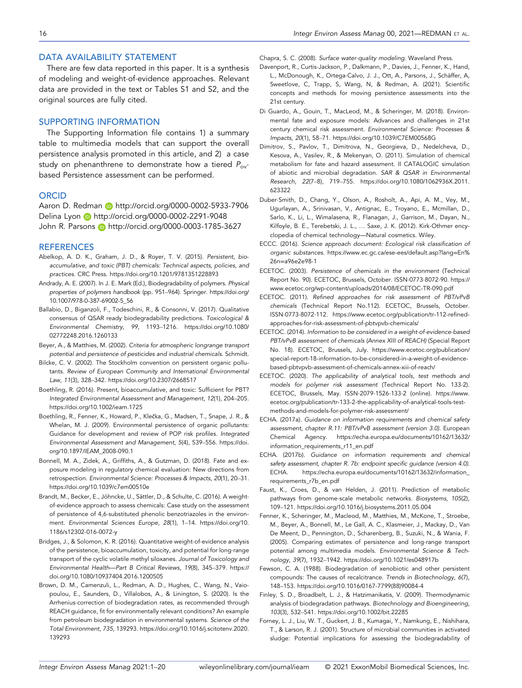## DATA AVAILABILITY STATEMENT

There are few data reported in this paper. It is a synthesis of modeling and weight‐of‐evidence approaches. Relevant data are provided in the text or Tables S1 and S2, and the original sources are fully cited.

## SUPPORTING INFORMATION

The Supporting Information file contains 1) a summary table to multimedia models that can support the overall persistence analysis promoted in this article, and 2) a case study on phenanthrene to demonstrate how a tiered  $P_{ov}$ based Persistence assessment can be performed.

## **ORCID**

Aaron D. Redman **in** http://[orcid.org](http://orcid.org/0000-0002-5933-7906)/0000-0002-5933-7906 Delina Lyon http://[orcid.org](http://orcid.org/0000-0002-2291-9048)/0000-0002-2291-9048 John R. Parsons **b** http://[orcid.org](http://orcid.org/0000-0003-1785-3627)/0000-0003-1785-3627

#### **REFERENCES**

- Abelkop, A. D. K., Graham, J. D., & Royer, T. V. (2015). Persistent, bioaccumulative, and toxic (PBT) chemicals: Technical aspects, policies, and practices. CRC Press. https://doi.org/10.1201/[9781351228893](https://doi.org/10.1201/9781351228893)
- Andrady, A. E. (2007). In J. E. Mark (Ed.), Biodegradability of polymers. Physical properties of polymers handbook (pp. 951–964). Springer. https://[doi.org](https://doi.org/10.1007/978-0-387-69002-5_56)/ [10.1007](https://doi.org/10.1007/978-0-387-69002-5_56)/978-0-387-69002-5\_56
- Ballabio, D., Biganzoli, F., Todeschini, R., & Consonni, V. (2017). Qualitative consensus of QSAR ready biodegradability predictions. Toxicological & Environmental Chemistry, 99, 1193–1216. https://doi.org/[10.1080](https://doi.org/10.1080/02772248.2016.1260133)/ [02772248.2016.1260133](https://doi.org/10.1080/02772248.2016.1260133)
- Beyer, A., & Matthies, M. (2002). Criteria for atmospheric longrange transport potential and persistence of pesticides and industrial chemicals. Schmidt.
- Bilcke, C. V. (2002). The Stockholm convention on persistent organic pollutants. Review of European Community and International Environmental Law, 11(3), 328–342. https://doi.org/10.2307/[2668517](https://doi.org/10.2307/2668517)
- Boethling, R. (2016). Present, bioaccumulative, and toxic: Sufficient for PBT? Integrated Environmental Assessment and Management, 12(1), 204–205. https://doi.org/10.1002/[ieam.1725](https://doi.org/10.1002/ieam.1725)
- Boethling, R., Fenner, K., Howard, P., Klečka, G., Madsen, T., Snape, J. R., & Whelan, M. J. (2009). Environmental persistence of organic pollutants: Guidance for development and review of POP risk profiles. Integrated Environmental Assessment and Management, 5(4), 539–556. [https:](https://doi.org/10.1897/IEAM_2008-090.1)//doi. org/10.1897/[IEAM\\_2008](https://doi.org/10.1897/IEAM_2008-090.1)-090.1
- Bonnell, M. A., Zidek, A., Griffiths, A., & Gutzman, D. (2018). Fate and exposure modeling in regulatory chemical evaluation: New directions from retrospection. Environmental Science: Processes & Impacts, 20(1), 20–31. https://doi.org/10.1039/[c7em00510e](https://doi.org/10.1039/c7em00510e)
- Brandt, M., Becker, E., Jöhncke, U., Sättler, D., & Schulte, C. (2016). A weight‐ of-evidence approach to assess chemicals: Case study on the assessment of persistence of 4,6‐substituted phenolic benzotriazoles in the environment. Environmental Sciences Europe, 28(1), 1–14. https://[doi.org](https://doi.org/10.1186/s12302-016-0072-y)/10. 1186/[s12302](https://doi.org/10.1186/s12302-016-0072-y)-016-0072-y
- Bridges, J., & Solomon, K. R. (2016). Quantitative weight‐of‐evidence analysis of the persistence, bioaccumulation, toxicity, and potential for long‐range transport of the cyclic volatile methyl siloxanes. Journal of Toxicology and Environmental Health—Part B Critical Reviews, 19(8), 345–379. [https:](https://doi.org/10.1080/10937404.2016.1200505)// doi.org/10.1080/[10937404.2016.1200505](https://doi.org/10.1080/10937404.2016.1200505)
- Brown, D. M., Camenzuli, L., Redman, A. D., Hughes, C., Wang, N., Vaiopoulou, E., Saunders, D., Villalobos, A., & Linington, S. (2020). Is the Arrhenius‐correction of biodegradation rates, as recommended through REACH guidance, fit for environmentally relevant conditions? An example from petroleum biodegradation in environmental systems. Science of the Total Environment, 735, 139293. https://doi.org/10.1016/[j.scitotenv.2020.](https://doi.org/10.1016/j.scitotenv.2020.139293) [139293](https://doi.org/10.1016/j.scitotenv.2020.139293)

Chapra, S. C. (2008). Surface water‐quality modeling. Waveland Press.

- Davenport, R., Curtis‐Jackson, P., Dalkmann, P., Davies, J., Fenner, K., Hand, L., McDonough, K., Ortega‐Calvo, J. J., Ott, A., Parsons, J., Schäffer, A, Sweetlove, C, Trapp, S, Wang, N, & Redman, A. (2021). Scientific concepts and methods for moving persistence assessments into the 21st century.
- Di Guardo, A., Gouin, T., MacLeod, M., & Scheringer, M. (2018). Environmental fate and exposure models: Advances and challenges in 21st century chemical risk assessment. Environmental Science: Processes & Impacts, 20(1), 58–71. https://doi.org/10.1039/[C7EM00568G](https://doi.org/10.1039/C7EM00568G)
- Dimitrov, S., Pavlov, T., Dimitrova, N., Georgieva, D., Nedelcheva, D., Kesova, A., Vasilev, R., & Mekenyan, O. (2011). Simulation of chemical metabolism for fate and hazard assessment. II CATALOGIC simulation of abiotic and microbial degradation. SAR & QSAR in Environmental Research, 22(7–8), 719–755. https://doi.org/10.1080/[1062936X.2011.](https://doi.org/10.1080/1062936X.2011.623322) [623322](https://doi.org/10.1080/1062936X.2011.623322)
- Duber‐Smith, D., Chang, Y., Olson, A., Rosholt, A., Api, A. M., Vey, M., Ugurlayan, A., Srinivasan, V., Antignac, E., Troyano, E., Mcmillan, D., Sarlo, K., Li, L., Wimalasena, R., Flanagan, J., Garrison, M., Dayan, N., Kilfoyle, B. E., Terebetski, J. L., … Saxe, J. K. (2012). Kirk‐Othmer encyclopedia of chemical technology—Natural cosmetics. Wiley.
- ECCC. (2016). Science approach document: Ecological risk classification of organic substances. https://www.ec.gc.ca/ese-ees/[default.asp?lang](https://www.ec.gc.ca/ese-ees/default.asp?lang=En%26n=a96e2e98-1)=En% 26n=[a96e2e98](https://www.ec.gc.ca/ese-ees/default.asp?lang=En%26n=a96e2e98-1)-1
- ECETOC. (2003). Persistence of chemicals in the environment (Technical Report No. 90). ECETOC, Brussels, October. ISSN‐0773‐8072‐90. [https:](https://www.ecetoc.org/wp-content/uploads/2014/08/ECETOC-TR-090.pdf)// [www.ecetoc.org](https://www.ecetoc.org/wp-content/uploads/2014/08/ECETOC-TR-090.pdf)/wp-content/uploads/2014/08/ECETOC-TR-090.pdf
- ECETOC. (2011). Refined approaches for risk assessment of PBT/vPvB chemicals (Technical Report No.112). ECETOC, Brussels, October. ISSN‐0773‐8072‐112. https://[www.ecetoc.org](https://www.ecetoc.org/publication/tr-112-refined-approaches-for-risk-assessment-of-pbtvpvb-chemicals/)/publication/tr-112-refined[approaches](https://www.ecetoc.org/publication/tr-112-refined-approaches-for-risk-assessment-of-pbtvpvb-chemicals/)-for-risk-assessment-of-pbtvpvb-chemicals/
- ECETOC. (2014). Information to be considered in a weight‐of‐evidence‐based PBT/vPvB assessment of chemicals (Annex XIII of REACH) (Special Report No. 18). ECETOC, Brussels, July. https://[www.ecetoc.org](https://www.ecetoc.org/publication/special-report-18-information-to-be-considered-in-a-weight-of-evidence-based-pbtvpvb-assessment-of-chemicals-annex-xiii-of-reach/)/publication/ special-report-18-[information](https://www.ecetoc.org/publication/special-report-18-information-to-be-considered-in-a-weight-of-evidence-based-pbtvpvb-assessment-of-chemicals-annex-xiii-of-reach/)-to-be-considered-in-a-weight-of-evidencebased-pbtvpvb-[assessment](https://www.ecetoc.org/publication/special-report-18-information-to-be-considered-in-a-weight-of-evidence-based-pbtvpvb-assessment-of-chemicals-annex-xiii-of-reach/)-of-chemicals-annex-xiii-of-reach/
- ECETOC. (2020). The applicability of analytical tools, test methods and models for polymer risk assessment (Technical Report No. 133‐2). ECETOC, Brussels, May. ISSN‐2079‐1526‐133‐2 (online). [https:](https://www.ecetoc.org/publication/tr-133-2-the-applicability-of-analytical-tools-test-methods-and-models-for-polymer-risk-assessment/)//www. ecetoc.org/publication/tr-133-2-the-[applicability](https://www.ecetoc.org/publication/tr-133-2-the-applicability-of-analytical-tools-test-methods-and-models-for-polymer-risk-assessment/)-of-analytical-tools-testmethods-and-models-for-polymer-risk-[assessment](https://www.ecetoc.org/publication/tr-133-2-the-applicability-of-analytical-tools-test-methods-and-models-for-polymer-risk-assessment/)/
- ECHA. (2017a). Guidance on information requirements and chemical safety assessment, chapter R.11: PBT/vPvB assessment (version 3.0). European Chemical Agency. https://[echa.europa.eu](https://echa.europa.eu/documents/10162/13632/information_requirements_r11_en.pdf)/documents/10162/13632/ [information\\_requirements\\_r11\\_en.pdf](https://echa.europa.eu/documents/10162/13632/information_requirements_r11_en.pdf)
- ECHA. (2017b). Guidance on information requirements and chemical safety assessment, chapter R. 7b: endpoint specific guidance (version 4.0). ECHA. https://[echa.europa.eu](https://echa.europa.eu/documents/10162/13632/information_requirements_r7b_en.pdf)/documents/10162/13632/information\_ [requirements\\_r7b\\_en.pdf](https://echa.europa.eu/documents/10162/13632/information_requirements_r7b_en.pdf)
- Faust, K., Croes, D., & van Helden, J. (2011). Prediction of metabolic pathways from genome-scale metabolic networks. Biosystems, 105(2), 109–121. https://doi.org/10.1016/[j.biosystems.2011.05.004](https://doi.org/10.1016/j.biosystems.2011.05.004)
- Fenner, K., Scheringer, M., Macleod, M., Matthies, M., McKone, T., Stroebe, M., Beyer, A., Bonnell, M., Le Gall, A. C., Klasmeier, J., Mackay, D., Van De Meent, D., Pennington, D., Scharenberg, B., Suzuki, N., & Wania, F. (2005). Comparing estimates of persistence and long‐range transport potential among multimedia models. Environmental Science & Technology, 39(7), 1932–1942. https://doi.org/10.1021/[es048917b](https://doi.org/10.1021/es048917b)
- Fewson, C. A. (1988). Biodegradation of xenobiotic and other persistent compounds: The causes of recalcitrance. Trends in Biotechnology, 6(7), 148–153. https://doi.org/10.1016/0167-[7799\(88\)90084](https://doi.org/10.1016/0167-7799(88)90084-4)-4
- Finley, S. D., Broadbelt, L. J., & Hatzimanikatis, V. (2009). Thermodynamic analysis of biodegradation pathways. Biotechnology and Bioengineering, 103(3), 532–541. https://doi.org/10.1002/[bit.22285](https://doi.org/10.1002/bit.22285)
- Forney, L. J., Liu, W. T., Guckert, J. B., Kumagai, Y., Namkung, E., Nishihara, T., & Larson, R. J. (2001). Structure of microbial communities in activated sludge: Potential implications for assessing the biodegradability of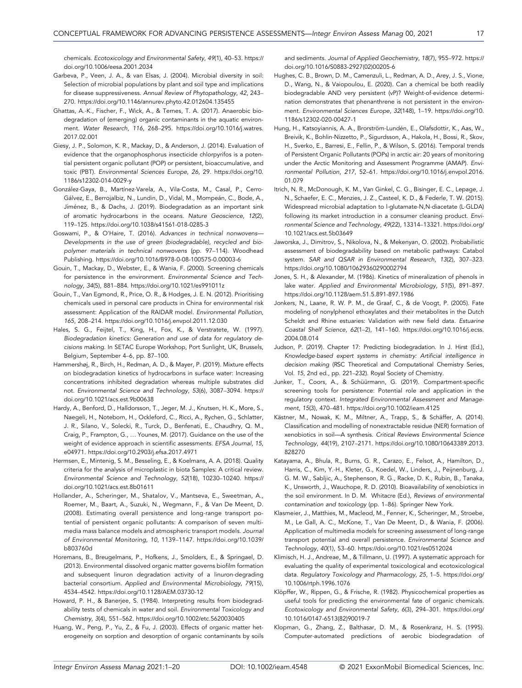chemicals. Ecotoxicology and Environmental Safety, 49(1), 40–53. [https:](https://doi.org/10.1006/eesa.2001.2034)// doi.org/10.1006/[eesa.2001.2034](https://doi.org/10.1006/eesa.2001.2034)

- Garbeva, P., Veen, J. A., & van Elsas, J. (2004). Microbial diversity in soil: Selection of microbial populations by plant and soil type and implications for disease suppressiveness. Annual Review of Phytopathology, 42, 243– 270. https://doi.org/10.1146/[annurev.phyto.42.012604.135455](https://doi.org/10.1146/annurev.phyto.42.012604.135455)
- Ghattas, A.‐K., Fischer, F., Wick, A., & Ternes, T. A. (2017). Anaerobic biodegradation of (emerging) organic contaminants in the aquatic environment. Water Research, 116, 268–295. https://doi.org/10.1016/[j.watres.](https://doi.org/10.1016/j.watres.2017.02.001) [2017.02.001](https://doi.org/10.1016/j.watres.2017.02.001)
- Giesy, J. P., Solomon, K. R., Mackay, D., & Anderson, J. (2014). Evaluation of evidence that the organophosphorus insecticide chlorpyrifos is a potential persistent organic pollutant (POP) or persistent, bioaccumulative, and toxic (PBT). Environmental Sciences Europe, 26, 29. https://[doi.org](https://doi.org/10.1186/s12302-014-0029-y)/10. 1186/[s12302](https://doi.org/10.1186/s12302-014-0029-y)-014-0029-y
- González‐Gaya, B., Martínez‐Varela, A., Vila‐Costa, M., Casal, P., Cerro‐ Gálvez, E., Berrojalbiz, N., Lundin, D., Vidal, M., Mompeán, C., Bode, A., Jiménez, B., & Dachs, J. (2019). Biodegradation as an important sink of aromatic hydrocarbons in the oceans. Nature Geoscience, 12(2), 119–125. https://doi.org/[10.1038](https://doi.org/10.1038/s41561-018-0285-3)/s41561-018-0285-3
- Goswami, P., & O'Haire, T. (2016). Advances in technical nonwovens— Developments in the use of green (biodegradable), recycled and biopolymer materials in technical nonwovens (pp. 97–114). Woodhead Publishing. https://doi.org/[10.1016](https://doi.org/10.1016/B978-0-08-100575-0.00003-6)/B978-0-08-100575-0.00003-6
- Gouin, T., Mackay, D., Webster, E., & Wania, F. (2000). Screening chemicals for persistence in the environment. Environmental Science and Technology, 34(5), 881–884. https://doi.org/10.1021/[es991011z](https://doi.org/10.1021/es991011z)
- Gouin, T., Van Egmond, R., Price, O. R., & Hodges, J. E. N. (2012). Prioritising chemicals used in personal care products in China for environmental risk assessment: Application of the RAIDAR model. Environmental Pollution, 165, 208–214. https://doi.org/10.1016/[j.envpol.2011.12.030](https://doi.org/10.1016/j.envpol.2011.12.030)
- Hales, S. G., Feijtel, T., King, H., Fox, K., & Verstratete, W. (1997). Biodegradation kinetics: Generation and use of data for regulatory decisions making. In SETAC Europe Workshop, Port Sunlight, UK, Brussels, Belgium, September 4–6, pp. 87–100.
- Hammershøj, R., Birch, H., Redman, A. D., & Mayer, P. (2019). Mixture effects on biodegradation kinetics of hydrocarbons in surface water: Increasing concentrations inhibited degradation whereas multiple substrates did not. Environmental Science and Technology, 53(6), 3087–3094. [https:](https://doi.org/10.1021/acs.est.9b00638)// doi.org/10.1021/[acs.est.9b00638](https://doi.org/10.1021/acs.est.9b00638)
- Hardy, A., Benford, D., Halldorsson, T., Jeger, M. J., Knutsen, H. K., More, S., Naegeli, H., Noteborn, H., Ockleford, C., Ricci, A., Rychen, G., Schlatter, J. R., Silano, V., Solecki, R., Turck, D., Benfenati, E., Chaudhry, Q. M., Craig, P., Frampton, G., … Younes, M. (2017). Guidance on the use of the weight of evidence approach in scientific assessments. EFSA Journal, 15, e04971. https://doi.org/10.2903/[j.efsa.2017.4971](https://doi.org/10.2903/j.efsa.2017.4971)
- Hermsen, E., Mintenig, S. M., Besseling, E., & Koelmans, A. A. (2018). Quality criteria for the analysis of microplastic in biota Samples: A critical review. Environmental Science and Technology, 52(18), 10230–10240. [https:](https://doi.org/10.1021/acs.est.8b01611)// doi.org/10.1021/[acs.est.8b01611](https://doi.org/10.1021/acs.est.8b01611)
- Hollander, A., Scheringer, M., Shatalov, V., Mantseva, E., Sweetman, A., Roemer, M., Baart, A., Suzuki, N., Wegmann, F., & Van De Meent, D. (2008). Estimating overall persistence and long‐range transport potential of persistent organic pollutants: A comparison of seven multimedia mass balance models and atmospheric transport models. Journal of Environmental Monitoring, 10, 1139–1147. https://doi.org/[10.1039](https://doi.org/10.1039/b803760d)/ [b803760d](https://doi.org/10.1039/b803760d)
- Horemans, B., Breugelmans, P., Hofkens, J., Smolders, E., & Springael, D. (2013). Environmental dissolved organic matter governs biofilm formation and subsequent linuron degradation activity of a linuron‐degrading bacterial consortium. Applied and Environmental Microbiology, 79(15), 4534–4542. https://doi.org/10.1128/[AEM.03730](https://doi.org/10.1128/AEM.03730-12)-12
- Howard, P. H., & Banerjee, S. (1984). Interpreting results from biodegradability tests of chemicals in water and soil. Environmental Toxicology and Chemistry, 3(4), 551–562. https://doi.org/10.1002/[etc.5620030405](https://doi.org/10.1002/etc.5620030405)
- Huang, W., Peng, P., Yu, Z., & Fu, J. (2003). Effects of organic matter heterogeneity on sorption and desorption of organic contaminants by soils

and sediments. Journal of Applied Geochemistry, 18(7), 955–972. [https:](https://doi.org/10.1016/S0883-2927(02)00205-6)// doi.org/10.1016/S0883-[2927\(02\)00205](https://doi.org/10.1016/S0883-2927(02)00205-6)-6

- Hughes, C. B., Brown, D. M., Camenzuli, L., Redman, A. D., Arey, J. S., Vione, D., Wang, N., & Vaiopoulou, E. (2020). Can a chemical be both readily biodegradable AND very persistent (vP)? Weight‐of‐evidence determination demonstrates that phenanthrene is not persistent in the environment. Environmental Sciences Europe, 32(148), 1–19. https://[doi.org](https://doi.org/10.1186/s12302-020-00427-1)/10. 1186/[s12302](https://doi.org/10.1186/s12302-020-00427-1)-020-00427-1
- Hung, H., Katsoyiannis, A. A., Brorström‐Lundén, E., Olafsdottir, K., Aas, W., Breivik, K., Bohlin‐Nizzetto, P., Sigurdsson, A., Hakola, H., Bossi, R., Skov, H., Sverko, E., Barresi, E., Fellin, P., & Wilson, S. (2016). Temporal trends of Persistent Organic Pollutants (POPs) in arctic air: 20 years of monitoring under the Arctic Monitoring and Assessment Programme (AMAP). Environmental Pollution, 217, 52–61. https://doi.org/10.1016/[j.envpol.2016.](https://doi.org/10.1016/j.envpol.2016.01.079) [01.079](https://doi.org/10.1016/j.envpol.2016.01.079)
- Itrich, N. R., McDonough, K. M., Van Ginkel, C. G., Bisinger, E. C., Lepage, J. N., Schaefer, E. C., Menzies, J. Z., Casteel, K. D., & Federle, T. W. (2015). Widespread microbial adaptation to l‐glutamate‐N,N‐diacetate (L‐GLDA) following its market introduction in a consumer cleaning product. Environmental Science and Technology, 49(22), 13314–13321. https://[doi.org](https://doi.org/10.1021/acs.est.5b03649)/ 10.1021/[acs.est.5b03649](https://doi.org/10.1021/acs.est.5b03649)
- Jaworska, J., Dimitrov, S., Nikolova, N., & Mekenyan, O. (2002). Probabilistic assessment of biodegradability based on metabolic pathways: Catabol system. SAR and QSAR in Environmental Research, 13(2), 307–323. https://doi.org/10.1080/[10629360290002794](https://doi.org/10.1080/10629360290002794)
- Jones, S. H., & Alexander, M. (1986). Kinetics of mineralization of phenols in lake water. Applied and Environmental Microbiology, 51(5), 891–897. https://doi.org/10.1128/[aem.51.5.891](https://doi.org/10.1128/aem.51.5.891-897.1986)-897.1986
- Jonkers, N., Laane, R. W. P. M., de Graaf, C., & de Voogt, P. (2005). Fate modeling of nonylphenol ethoxylates and their metabolites in the Dutch Scheldt and Rhine estuaries: Validation with new field data. Estuarine Coastal Shelf Science, 62(1–2), 141–160. https://doi.org/[10.1016](https://doi.org/10.1016/j.ecss.2004.08.014)/j.ecss. [2004.08.014](https://doi.org/10.1016/j.ecss.2004.08.014)
- Judson, P. (2019). Chapter 17: Predicting biodegradation. In J. Hirst (Ed.), Knowledge‐based expert systems in chemistry: Artificial intelligence in decision making (RSC Theoretical and Computational Chemistry Series, Vol. 15, 2nd ed., pp. 221–232). Royal Society of Chemistry.
- Junker, T., Coors, A., & Schüürmann, G. (2019). Compartment‐specific screening tools for persistence: Potential role and application in the regulatory context. Integrated Environmental Assessment and Management, 15(3), 470–481. https://doi.org/10.1002/[ieam.4125](https://doi.org/10.1002/ieam.4125)
- Kästner, M., Nowak, K. M., Miltner, A., Trapp, S., & Schäffer, A. (2014). Classification and modelling of nonextractable residue (NER) formation of xenobiotics in soil—A synthesis. Critical Reviews Environmental Science Technology, 44(19), 2107–2171. https://doi.org/10.1080/[10643389.2013.](https://doi.org/10.1080/10643389.2013.828270) [828270](https://doi.org/10.1080/10643389.2013.828270)
- Katayama, A., Bhula, R., Burns, G. R., Carazo, E., Felsot, A., Hamilton, D., Harris, C., Kim, Y.‐H., Kleter, G., Koedel, W., Linders, J., Peijnenburg, J. G. M. W., Sabljic, A., Stephenson, R. G., Racke, D. K., Rubin, B., Tanaka, K., Unsworth, J., Wauchope, R. D. (2010). Bioavailability of xenobiotics in the soil environment. In D. M. Whitacre (Ed.), Reviews of environmental contamination and toxicology (pp. 1–86). Springer New York.
- Klasmeier, J., Matthies, M., Macleod, M., Fenner, K., Scheringer, M., Stroebe, M., Le Gall, A. C., McKone, T., Van De Meent, D., & Wania, F. (2006). Application of multimedia models for screening assessment of long‐range transport potential and overall persistence. Environmental Science and Technology, 40(1), 53–60. https://doi.org/10.1021/[es0512024](https://doi.org/10.1021/es0512024)
- Klimisch, H. J., Andreae, M., & Tillmann, U. (1997). A systematic approach for evaluating the quality of experimental toxicological and ecotoxicological data. Regulatory Toxicology and Pharmacology, 25, 1–5. https://[doi.org](https://doi.org/10.1006/rtph.1996.1076)/ 10.1006/[rtph.1996.1076](https://doi.org/10.1006/rtph.1996.1076)
- Klöpffer, W., Rippen, G., & Frische, R. (1982). Physicochemical properties as useful tools for predicting the environmental fate of organic chemicals. Ecotoxicology and Environmental Safety, 6(3), 294–301. https://[doi.org](https://doi.org/10.1016/0147-6513(82)90019-7)/ 10.1016/0147-[6513\(82\)90019](https://doi.org/10.1016/0147-6513(82)90019-7)-7
- Klopman, G., Zhang, Z., Balthasar, D. M., & Rosenkranz, H. S. (1995). Computer‐automated predictions of aerobic biodegradation of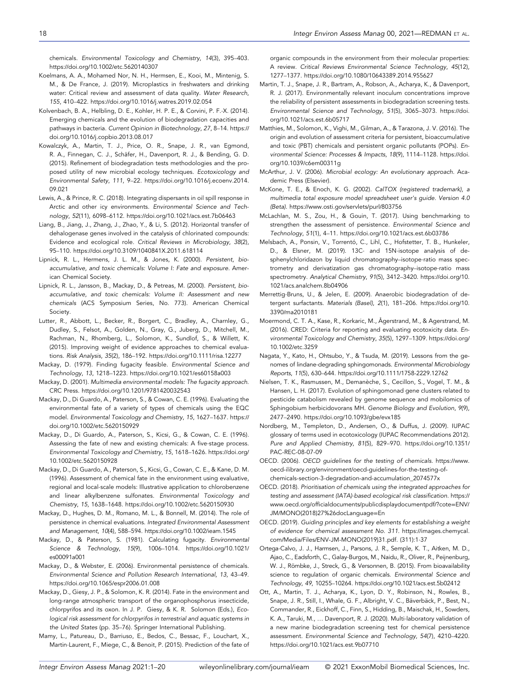chemicals. Environmental Toxicology and Chemistry, 14(3), 395–403. https://doi.org/10.1002/[etc.5620140307](https://doi.org/10.1002/etc.5620140307)

- Koelmans, A. A., Mohamed Nor, N. H., Hermsen, E., Kooi, M., Mintenig, S. M., & De France, J. (2019). Microplastics in freshwaters and drinking water: Critical review and assessment of data quality. Water Research, 155, 410–422. https://doi.org/10.1016/[j.watres.2019.02.054](https://doi.org/10.1016/j.watres.2019.02.054)
- Kolvenbach, B. A., Helbling, D. E., Kohler, H. P. E., & Corvini, P. F.‐X. (2014). Emerging chemicals and the evolution of biodegradation capacities and pathways in bacteria. Current Opinion in Biotechnology, 27, 8–14. [https:](https://doi.org/10.1016/j.copbio.2013.08.017)// doi.org/10.1016/[j.copbio.2013.08.017](https://doi.org/10.1016/j.copbio.2013.08.017)
- Kowalczyk, A., Martin, T. J., Price, O. R., Snape, J. R., van Egmond, R. A., Finnegan, C. J., Schäfer, H., Davenport, R. J., & Bending, G. D. (2015). Refinement of biodegradation tests methodologies and the proposed utility of new microbial ecology techniques. Ecotoxicology and Environmental Safety, 111, 9–22. https://doi.org/10.1016/[j.ecoenv.2014.](https://doi.org/10.1016/j.ecoenv.2014.09.021) [09.021](https://doi.org/10.1016/j.ecoenv.2014.09.021)
- Lewis, A., & Prince, R. C. (2018). Integrating dispersants in oil spill response in Arctic and other icy environments. Environmental Science and Technology, 52(11), 6098–6112. https://doi.org/10.1021/[acs.est.7b06463](https://doi.org/10.1021/acs.est.7b06463)
- Liang, B., Jiang, J., Zhang, J., Zhao, Y., & Li, S. (2012). Horizontal transfer of dehalogenase genes involved in the catalysis of chlorinated compounds: Evidence and ecological role. Critical Reviews in Microbiology, 38(2), 95–110. https://doi.org/10.3109/[1040841X.2011.618114](https://doi.org/10.3109/1040841X.2011.618114)
- Lipnick, R. L., Hermens, J. L. M., & Jones, K. (2000). Persistent, bioaccumulative, and toxic chemicals: Volume I: Fate and exposure. American Chemical Society.
- Lipnick, R. L., Jansson, B., Mackay, D., & Petreas, M. (2000). Persistent, bioaccumulative, and toxic chemicals: Volume II: Assessment and new chemicals (ACS Symposium Series, No. 773). American Chemical Society.
- Lutter, R., Abbott, L., Becker, R., Borgert, C., Bradley, A., Charnley, G., Dudley, S., Felsot, A., Golden, N., Gray, G., Juberg, D., Mitchell, M., Rachman, N., Rhomberg, L., Solomon, K., Sundlof, S., & Willett, K. (2015). Improving weight of evidence approaches to chemical evaluations. Risk Analysis, 35(2), 186–192. https://doi.org/10.1111/[risa.12277](https://doi.org/10.1111/risa.12277)
- Mackay, D. (1979). Finding fugacity feasible. Environmental Science and Technology, 13, 1218–1223. https://doi.org/10.1021/[es60158a003](https://doi.org/10.1021/es60158a003)
- Mackay, D. (2001). Multimedia environmental models: The fugacity approach. CRC Press. https://doi.org/10.1201/[9781420032543](https://doi.org/10.1201/9781420032543)
- Mackay, D., Di Guardo, A., Paterson, S., & Cowan, C. E. (1996). Evaluating the environmental fate of a variety of types of chemicals using the EQC model. Environmental Toxicology and Chemistry, 15, 1627–1637. [https:](https://doi.org/10.1002/etc.5620150929)// doi.org/10.1002/[etc.5620150929](https://doi.org/10.1002/etc.5620150929)
- Mackay, D., Di Guardo, A., Paterson, S., Kicsi, G., & Cowan, C. E. (1996). Assessing the fate of new and existing chemicals: A five-stage process. Environmental Toxicology and Chemistry, 15, 1618–1626. https://[doi.org](https://doi.org/10.1002/etc.5620150928)/ 10.1002/[etc.5620150928](https://doi.org/10.1002/etc.5620150928)
- Mackay, D., Di Guardo, A., Paterson, S., Kicsi, G., Cowan, C. E., & Kane, D. M. (1996). Assessment of chemical fate in the environment using evaluative, regional and local‐scale models: Illustrative application to chlorobenzene and linear alkylbenzene sulfonates. Environmental Toxicology and Chemistry, 15, 1638–1648. https://doi.org/10.1002/[etc.5620150930](https://doi.org/10.1002/etc.5620150930)
- Mackay, D., Hughes, D. M., Romano, M. L., & Bonnell, M. (2014). The role of persistence in chemical evaluations. Integrated Environmental Assessment and Management, 10(4), 588–594. https://doi.org/10.1002/[ieam.1545](https://doi.org/10.1002/ieam.1545)
- Mackay, D., & Paterson, S. (1981). Calculating fugacity. Environmental Science & Technology, 15(9), 1006–1014. https://doi.org/[10.1021](https://doi.org/10.1021/es00091a001)/ [es00091a001](https://doi.org/10.1021/es00091a001)
- Mackay, D., & Webster, E. (2006). Environmental persistence of chemicals. Environmental Science and Pollution Research International, 13, 43–49. https://doi.org/10.1065/[espr2006.01.008](https://doi.org/10.1065/espr2006.01.008)
- Mackay, D., Giesy, J. P., & Solomon, K. R. (2014). Fate in the environment and long‐range atmospheric transport of the organophosphorus insecticide, chlorpyrifos and its oxon. In J. P. Giesy, & K. R. Solomon (Eds.), Ecological risk assessment for chlorpyrifos in terrestrial and aquatic systems in the United States (pp. 35–76). Springer International Publishing.
- Mamy, L., Patureau, D., Barriuso, E., Bedos, C., Bessac, F., Louchart, X., Martin‐Laurent, F., Miege, C., & Benoit, P. (2015). Prediction of the fate of

organic compounds in the environment from their molecular properties: A review. Critical Reviews Environmental Science Technology, 45(12), 1277–1377. https://doi.org/10.1080/[10643389.2014.955627](https://doi.org/10.1080/10643389.2014.955627)

- Martin, T. J., Snape, J. R., Bartram, A., Robson, A., Acharya, K., & Davenport, R. J. (2017). Environmentally relevant inoculum concentrations improve the reliability of persistent assessments in biodegradation screening tests. Environmental Science and Technology, 51(5), 3065–3073. [https:](https://doi.org/10.1021/acs.est.6b05717)//doi. org/10.1021/[acs.est.6b05717](https://doi.org/10.1021/acs.est.6b05717)
- Matthies, M., Solomon, K., Vighi, M., Gilman, A., & Tarazona, J. V. (2016). The origin and evolution of assessment criteria for persistent, bioaccumulative and toxic (PBT) chemicals and persistent organic pollutants (POPs). Environmental Science: Processes & Impacts, 18(9), 1114–1128. [https:](https://doi.org/10.1039/c6em00311g)//doi. org/10.1039/[c6em00311g](https://doi.org/10.1039/c6em00311g)
- McArthur, J. V. (2006). Microbial ecology: An evolutionary approach. Academic Press (Elsevier).
- McKone, T. E., & Enoch, K. G. (2002). CalTOX (registered trademark), a multimedia total exposure model spreadsheet user's guide. Version 4.0 (Beta). https://[www.osti.gov](https://www.osti.gov/servlets/purl/803756)/servlets/purl/803756
- McLachlan, M. S., Zou, H., & Gouin, T. (2017). Using benchmarking to strengthen the assessment of persistence. Environmental Science and Technology, 51(1), 4–11. https://doi.org/10.1021/[acs.est.6b03786](https://doi.org/10.1021/acs.est.6b03786)
- Melsbach, A., Ponsin, V., Torrentó, C., Lihl, C., Hofstetter, T. B., Hunkeler, D., & Elsner, M. (2019). 13C‐ and 15N‐isotope analysis of desphenylchloridazon by liquid chromatography–isotope‐ratio mass spectrometry and derivatization gas chromatography–isotope‐ratio mass spectrometry. Analytical Chemistry, 91(5), 3412–3420. https://[doi.org](https://doi.org/10.1021/acs.analchem.8b04906)/10. 1021/[acs.analchem.8b04906](https://doi.org/10.1021/acs.analchem.8b04906)
- Merrettig‐Bruns, U., & Jelen, E. (2009). Anaerobic biodegradation of detergent surfactants. Materials (Basel), 2(1), 181–206. https://[doi.org](https://doi.org/10.3390/ma2010181)/10. 3390/[ma2010181](https://doi.org/10.3390/ma2010181)
- Moermond, C. T. A., Kase, R., Korkaric, M., Ågerstrand, M., & Agerstrand, M. (2016). CRED: Criteria for reporting and evaluating ecotoxicity data. Environmental Toxicology and Chemistry, 35(5), 1297–1309. https://[doi.org](https://doi.org/10.1002/etc.3259)/ 10.1002/[etc.3259](https://doi.org/10.1002/etc.3259)
- Nagata, Y., Kato, H., Ohtsubo, Y., & Tsuda, M. (2019). Lessons from the genomes of lindane‐degrading sphingomonads. Environmental Microbiology Reports, 11(5), 630–644. https://doi.org/10.1111/1758-[2229.12762](https://doi.org/10.1111/1758-2229.12762)
- Nielsen, T. K., Rasmussen, M., Demanèche, S., Cecillon, S., Vogel, T. M., & Hansen, L. H. (2017). Evolution of sphingomonad gene clusters related to pesticide catabolism revealed by genome sequence and mobilomics of Sphingobium herbicidovorans MH. Genome Biology and Evolution, 9(9), 2477–2490. https://doi.org/[10.1093](https://doi.org/10.1093/gbe/evx185)/gbe/evx185
- Nordberg, M., Templeton, D., Andersen, O., & Duffus, J. (2009). IUPAC glossary of terms used in ecotoxicology (IUPAC Recommendations 2012). Pure and Applied Chemistry, 81(5), 829–970. https://doi.org/[10.1351](https://doi.org/10.1351/PAC-REC-08-07-09)/ [PAC](https://doi.org/10.1351/PAC-REC-08-07-09)-REC-08-07-09
- OECD. (2006). OECD guidelines for the testing of chemicals. [https:](https://www.oecd-ilibrary.org/environment/oecd-guidelines-for-the-testing-of-chemicals-section-3-degradation-and-accumulation_2074577x)//www. oecd-ilibrary.org/[environment](https://www.oecd-ilibrary.org/environment/oecd-guidelines-for-the-testing-of-chemicals-section-3-degradation-and-accumulation_2074577x)/oecd-guidelines-for-the-testing-ofchemicals-section-3-degradation-and-[accumulation\\_2074577x](https://www.oecd-ilibrary.org/environment/oecd-guidelines-for-the-testing-of-chemicals-section-3-degradation-and-accumulation_2074577x)
- OECD. (2018). Prioritisation of chemicals using the integrated approaches for testing and assessment (IATA)‐based ecological risk classification. [https:](https://www.oecd.org/officialdocuments/publicdisplaydocumentpdf/?cote=ENV/JM/MONO(2018)27%26docLanguage=En)// www.oecd.org/officialdocuments/[publicdisplaydocumentpdf](https://www.oecd.org/officialdocuments/publicdisplaydocumentpdf/?cote=ENV/JM/MONO(2018)27%26docLanguage=En)/?cote=ENV/ JM/[MONO\(2018\)27%26docLanguage](https://www.oecd.org/officialdocuments/publicdisplaydocumentpdf/?cote=ENV/JM/MONO(2018)27%26docLanguage=En)=En
- OECD. (2019). Guiding principles and key elements for establishing a weight of evidence for chemical assessment No. 311. https://[images.chemycal.](https://images.chemycal.com/Media/Files/ENV-JM-MONO(2019)31.pdf) com/Media/Files/ENV-JM-[MONO\(2019\)31.pdf](https://images.chemycal.com/Media/Files/ENV-JM-MONO(2019)31.pdf). (311):1‐37
- Ortega‐Calvo, J. J., Harmsen, J., Parsons, J. R., Semple, K. T., Aitken, M. D., Ajao, C., Eadsforth, C., Galay‐Burgos, M., Naidu, R., Oliver, R., Peijnenburg, W. J., Römbke, J., Streck, G., & Versonnen, B. (2015). From bioavailability science to regulation of organic chemicals. Environmental Science and Technology, 49, 10255–10264. https://doi.org/10.1021/[acs.est.5b02412](https://doi.org/10.1021/acs.est.5b02412)
- Ott, A., Martin, T. J., Acharya, K., Lyon, D. Y., Robinson, N., Rowles, B., Snape, J. R., Still, I., Whale, G. F., Albright, V. C., Bäverbäck, P., Best, N., Commander, R., Eickhoff, C., Finn, S., Hidding, B., Maischak, H., Sowders, K. A., Taruki, M., … Davenport, R. J. (2020). Multi‐laboratory validation of a new marine biodegradation screening test for chemical persistence assessment. Environmental Science and Technology, 54(7), 4210–4220. https://doi.org/10.1021/[acs.est.9b07710](https://doi.org/10.1021/acs.est.9b07710)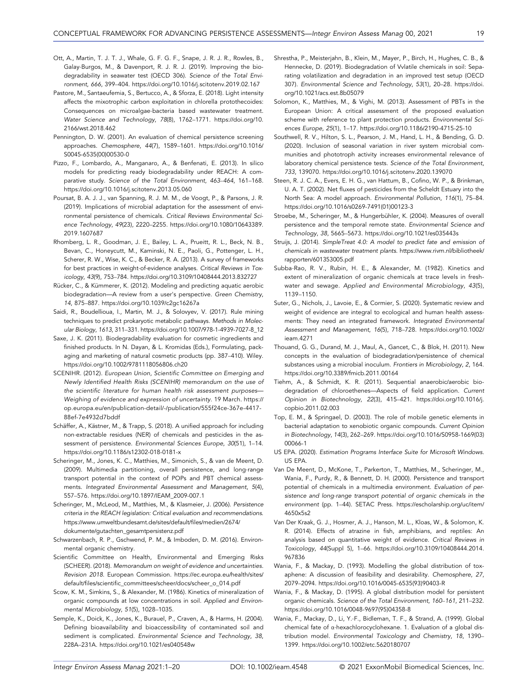- Ott, A., Martin, T. J. T. J., Whale, G. F. G. F., Snape, J. R. J. R., Rowles, B., Galay‐Burgos, M., & Davenport, R. J. R. J. (2019). Improving the biodegradability in seawater test (OECD 306). Science of the Total Environment, 666, 399–404. https://doi.org/10.1016/[j.scitotenv.2019.02.167](https://doi.org/10.1016/j.scitotenv.2019.02.167)
- Pastore, M., Santaeufemia, S., Bertucco, A., & Sforza, E. (2018). Light intensity affects the mixotrophic carbon exploitation in chlorella protothecoides: Consequences on microalgae‐bacteria based wastewater treatment. Water Science and Technology, 78(8), 1762–1771. https://[doi.org](https://doi.org/10.2166/wst.2018.462)/10. 2166/[wst.2018.462](https://doi.org/10.2166/wst.2018.462)
- Pennington, D. W. (2001). An evaluation of chemical persistence screening approaches. Chemosphere, 44(7), 1589–1601. https://doi.org/[10.1016](https://doi.org/10.1016/S0045-6535(00)00530-0)/ S0045-[6535\(00\)00530](https://doi.org/10.1016/S0045-6535(00)00530-0)-0
- Pizzo, F., Lombardo, A., Manganaro, A., & Benfenati, E. (2013). In silico models for predicting ready biodegradability under REACH: A comparative study. Science of the Total Environment, 463–464, 161–168. https://doi.org/10.1016/[j.scitotenv.2013.05.060](https://doi.org/10.1016/j.scitotenv.2013.05.060)
- Poursat, B. A. J. J., van Spanning, R. J. M. M., de Voogt, P., & Parsons, J. R. (2019). Implications of microbial adaptation for the assessment of environmental persistence of chemicals. Critical Reviews Environmental Science Technology, 49(23), 2220–2255. https://doi.org/10.1080/[10643389.](https://doi.org/10.1080/10643389.2019.1607687) [2019.1607687](https://doi.org/10.1080/10643389.2019.1607687)
- Rhomberg, L. R., Goodman, J. E., Bailey, L. A., Prueitt, R. L., Beck, N. B., Bevan, C., Honeycutt, M., Kaminski, N. E., Paoli, G., Pottenger, L. H., Scherer, R. W., Wise, K. C., & Becker, R. A. (2013). A survey of frameworks for best practices in weight-of-evidence analyses. Critical Reviews in Toxicology, 43(9), 753–784. https://doi.org/10.3109/[10408444.2013.832727](https://doi.org/10.3109/10408444.2013.832727)
- Rücker, C., & Kümmerer, K. (2012). Modeling and predicting aquatic aerobic biodegradation—A review from a user's perspective. Green Chemistry, 14, 875–887. https://doi.org/10.1039/[c2gc16267a](https://doi.org/10.1039/c2gc16267a)
- Saidi, R., Boudellioua, I., Martin, M. J., & Solovyev, V. (2017). Rule mining techniques to predict prokaryotic metabolic pathways. Methods in Molecular Biology, 1613, 311–331. https://doi.org/[10.1007](https://doi.org/10.1007/978-1-4939-7027-8_12)/978-1-4939-7027-8\_12
- Saxe, J. K. (2011). Biodegradability evaluation for cosmetic ingredients and finished products. In N. Dayan, & L. Kromidas (Eds.), Formulating, packaging and marketing of natural cosmetic products (pp. 387–410). Wiley. https://doi.org/10.1002/[9781118056806.ch20](https://doi.org/10.1002/9781118056806.ch20)
- SCENIHR. (2012). European Union, Scientific Committee on Emerging and Newly Identified Health Risks (SCENIHR) memorandum on the use of the scientific literature for human health risk assessment purposes— Weighing of evidence and expression of uncertainty. 19 March. [https:](https://op.europa.eu/en/publication-detail/-/publication/555f24ce-367e-4417-88ef-7e4932d7bddf)// [op.europa.eu](https://op.europa.eu/en/publication-detail/-/publication/555f24ce-367e-4417-88ef-7e4932d7bddf)/en/publication-detail/-/publication/555f24ce-367e-4417- 88ef-[7e4932d7bddf](https://op.europa.eu/en/publication-detail/-/publication/555f24ce-367e-4417-88ef-7e4932d7bddf)
- Schäffer, A., Kästner, M., & Trapp, S. (2018). A unified approach for including non‐extractable residues (NER) of chemicals and pesticides in the assessment of persistence. Environmental Sciences Europe, 30(51), 1–14. https://doi.org/[10.1186](https://doi.org/10.1186/s12302-018-0181-x)/s12302-018-0181-x
- Scheringer, M., Jones, K. C., Matthies, M., Simonich, S., & van de Meent, D. (2009). Multimedia partitioning, overall persistence, and long‐range transport potential in the context of POPs and PBT chemical assessments. Integrated Environmental Assessment and Management, 5(4), 557–576. https://doi.org/10.1897/[IEAM\\_2009](https://doi.org/10.1897/IEAM_2009-007.1)-007.1
- Scheringer, M., McLeod, M., Matthies, M., & Klasmeier, J. (2006). Persistence criteria in the REACH legislation: Critical evaluation and recommendations. https://[www.umweltbundesamt.de](https://www.umweltbundesamt.de/sites/default/files/medien/2674/dokumente/gutachten_gesamtpersistenz.pdf)/sites/default/files/medien/2674/ dokumente/[gutachten\\_gesamtpersistenz.pdf](https://www.umweltbundesamt.de/sites/default/files/medien/2674/dokumente/gutachten_gesamtpersistenz.pdf)
- Schwarzenbach, R. P., Gschwend, P. M., & Imboden, D. M. (2016). Environmental organic chemistry.
- Scientific Committee on Health, Environmental and Emerging Risks (SCHEER). (2018). Memorandum on weight of evidence and uncertainties. Revision 2018. European Commission. https://[ec.europa.eu](https://ec.europa.eu/health/sites/default/files/scientific_committees/scheer/docs/scheer_o_014.pdf)/health/sites/ default/files/scientific\_committees/scheer/docs/[scheer\\_o\\_014.pdf](https://ec.europa.eu/health/sites/default/files/scientific_committees/scheer/docs/scheer_o_014.pdf)
- Scow, K. M., Simkins, S., & Alexander, M. (1986). Kinetics of mineralization of organic compounds at low concentrations in soil. Applied and Environmental Microbiology, 51(5), 1028–1035.
- Semple, K., Doick, K., Jones, K., Burauel, P., Craven, A., & Harms, H. (2004). Defining bioavailability and bioaccessibility of contaminated soil and sediment is complicated. Environmental Science and Technology, 38, 228A–231A. https://doi.org/10.1021/[es040548w](https://doi.org/10.1021/es040548w)
- Shrestha, P., Meisterjahn, B., Klein, M., Mayer, P., Birch, H., Hughes, C. B., & Hennecke, D. (2019). Biodegradation of Vvlatile chemicals in soil: Separating volatilization and degradation in an improved test setup (OECD 307). Environmental Science and Technology, 53(1), 20–28. [https:](https://doi.org/10.1021/acs.est.8b05079)//doi. org/10.1021/[acs.est.8b05079](https://doi.org/10.1021/acs.est.8b05079)
- Solomon, K., Matthies, M., & Vighi, M. (2013). Assessment of PBTs in the European Union: A critical assessment of the proposed evaluation scheme with reference to plant protection products. Environmental Sciences Europe, 25(1), 1–17. https://doi.org/[10.1186](https://doi.org/10.1186/2190-4715-25-10)/2190-4715-25-10
- Southwell, R. V., Hilton, S. L., Pearson, J. M., Hand, L. H., & Bending, G. D. (2020). Inclusion of seasonal variation in river system microbial communities and phototroph activity increases environmental relevance of laboratory chemical persistence tests. Science of the Total Environment, 733, 139070. https://doi.org/10.1016/[j.scitotenv.2020.139070](https://doi.org/10.1016/j.scitotenv.2020.139070)
- Steen, R. J. C. A., Evers, E. H. G., van Hattum, B., Cofino, W. P., & Brinkman, U. A. T. (2002). Net fluxes of pesticides from the Scheldt Estuary into the North Sea: A model approach. Environmental Pollution, 116(1), 75–84. https://doi.org/10.1016/s0269-[7491\(01\)00123](https://doi.org/10.1016/s0269-7491(01)00123-3)-3
- Stroebe, M., Scheringer, M., & Hungerbühler, K. (2004). Measures of overall persistence and the temporal remote state. Environmental Science and Technology, 38, 5665–5673. https://doi.org/10.1021/[es035443s](https://doi.org/10.1021/es035443s)
- Struijs, J. (2014). SimpleTreat 4.0: A model to predict fate and emission of chemicals in wastewater treatment plants. https://[www.rivm.nl](https://www.rivm.nl/bibliotheek/rapporten/601353005.pdf)/bibliotheek/ rapporten/[601353005.pdf](https://www.rivm.nl/bibliotheek/rapporten/601353005.pdf)
- Subba‐Rao, R. V., Rubin, H. E., & Alexander, M. (1982). Kinetics and extent of mineralization of organic chemicals at trace levels in freshwater and sewage. Applied and Environmental Microbiology, 43(5), 1139–1150.
- Suter, G., Nichols, J., Lavoie, E., & Cormier, S. (2020). Systematic review and weight of evidence are integral to ecological and human health assessments: They need an integrated framework. Integrated Environmental Assessment and Management, 16(5), 718–728. https://doi.org/[10.1002](https://doi.org/10.1002/ieam.4271)/ [ieam.4271](https://doi.org/10.1002/ieam.4271)
- Thouand, G. G., Durand, M. J., Maul, A., Gancet, C., & Blok, H. (2011). New concepts in the evaluation of biodegradation/persistence of chemical substances using a microbial inoculum. Frontiers in Microbiology, 2, 164. https://doi.org/10.3389/[fmicb.2011.00164](https://doi.org/10.3389/fmicb.2011.00164)
- Tiehm, A., & Schmidt, K. R. (2011). Sequential anaerobic/aerobic biodegradation of chloroethenes—Aspects of field application. Current Opinion in Biotechnology, 22(3), 415–421. https://doi.org/[10.1016](https://doi.org/10.1016/j.copbio.2011.02.003)/j. [copbio.2011.02.003](https://doi.org/10.1016/j.copbio.2011.02.003)
- Top, E. M., & Springael, D. (2003). The role of mobile genetic elements in bacterial adaptation to xenobiotic organic compounds. Current Opinion in Biotechnology, 14(3), 262–269. https://doi.org/10.1016/S0958-[1669\(03\)](https://doi.org/10.1016/S0958-1669(03)00066-1) [00066](https://doi.org/10.1016/S0958-1669(03)00066-1)-1
- US EPA. (2020). Estimation Programs Interface Suite for Microsoft Windows. US EPA.
- Van De Meent, D., McKone, T., Parkerton, T., Matthies, M., Scheringer, M., Wania, F., Purdy, R., & Bennett, D. H. (2000). Persistence and transport potential of chemicals in a multimedia environment. Evaluation of persistence and long‐range transport potential of organic chemicals in the environment (pp. 1–44). SETAC Press. https://[escholarship.org](https://escholarship.org/uc/item/4650x5s2)/uc/item/ [4650x5s2](https://escholarship.org/uc/item/4650x5s2)
- Van Der Kraak, G. J., Hosmer, A. J., Hanson, M. L., Kloas, W., & Solomon, K. R. (2014). Effects of atrazine in fish, amphibians, and reptiles: An analysis based on quantitative weight of evidence. Critical Reviews in Toxicology, 44(Suppl 5), 1–66. https://doi.org/10.3109/[10408444.2014.](https://doi.org/10.3109/10408444.2014.967836) [967836](https://doi.org/10.3109/10408444.2014.967836)
- Wania, F., & Mackay, D. (1993). Modelling the global distribution of toxaphene: A discussion of feasibility and desirability. Chemosphere, 27, 2079–2094. https://doi.org/10.1016/0045-[6535\(93\)90403](https://doi.org/10.1016/0045-6535(93)90403-R)-R
- Wania, F., & Mackay, D. (1995). A global distribution model for persistent organic chemicals. Science of the Total Environment, 160–161, 211–232. https://doi.org/10.1016/0048-[9697\(95\)04358](https://doi.org/10.1016/0048-9697(95)04358-8)-8
- Wania, F., Mackay, D., Li, Y.‐F., Bidleman, T. F., & Strand, A. (1999). Global chemical fate of α‐hexachlorocyclohexane. 1. Evaluation of a global distribution model. Environmental Toxicology and Chemistry, 18, 1390– 1399. https://doi.org/10.1002/[etc.5620180707](https://doi.org/10.1002/etc.5620180707)